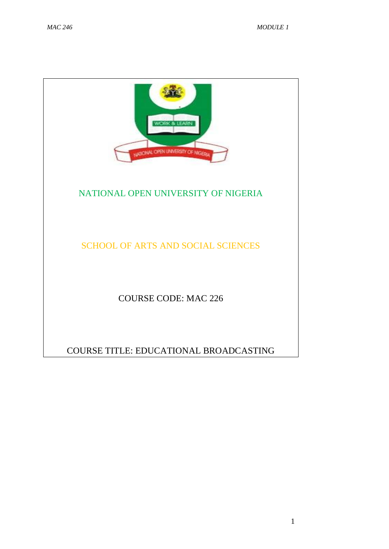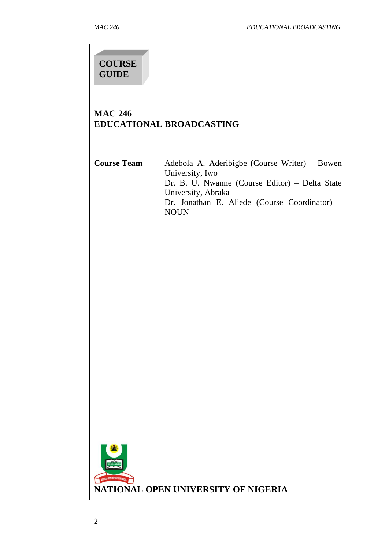# **COURSE GUIDE**

## **MAC 246 EDUCATIONAL BROADCASTING**

**Course Team** Adebola A. Aderibigbe (Course Writer) – Bowen University, Iwo Dr. B. U. Nwanne (Course Editor) – Delta State University, Abraka Dr. Jonathan E. Aliede (Course Coordinator) – NOUN

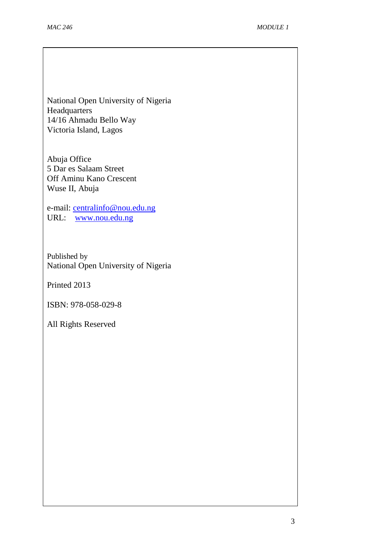National Open University of Nigeria Headquarters 14/16 Ahmadu Bello Way Victoria Island, Lagos

Abuja Office 5 Dar es Salaam Street Off Aminu Kano Crescent Wuse II, Abuja

e-mail: [centralinfo@nou.edu.ng](mailto:centralinfo@nou.edu.ng) URL: [www.nou.edu.ng](http://www.nou.edu.ng/)

Published by National Open University of Nigeria

Printed 2013

ISBN: 978-058-029-8

All Rights Reserved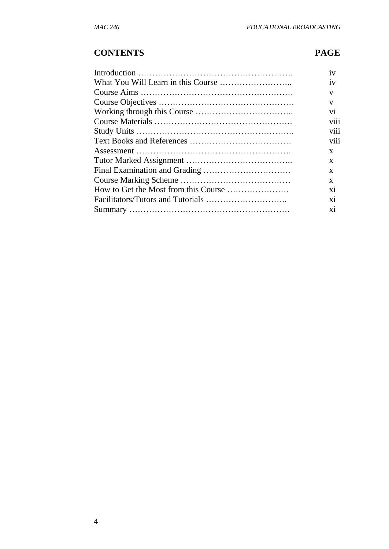## **CONTENTS PAGE**

| 1V   |
|------|
| 1V   |
| V    |
| v    |
| vi   |
| viii |
| V111 |
| viii |
| X    |
| X    |
| X    |
| X    |
| X1   |
| X1   |
| X1   |
|      |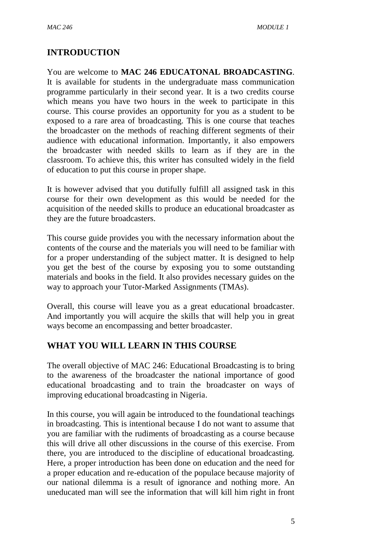## **INTRODUCTION**

You are welcome to **MAC 246 EDUCATONAL BROADCASTING**. It is available for students in the undergraduate mass communication programme particularly in their second year. It is a two credits course which means you have two hours in the week to participate in this course. This course provides an opportunity for you as a student to be exposed to a rare area of broadcasting. This is one course that teaches the broadcaster on the methods of reaching different segments of their audience with educational information. Importantly, it also empowers the broadcaster with needed skills to learn as if they are in the classroom. To achieve this, this writer has consulted widely in the field of education to put this course in proper shape.

It is however advised that you dutifully fulfill all assigned task in this course for their own development as this would be needed for the acquisition of the needed skills to produce an educational broadcaster as they are the future broadcasters.

This course guide provides you with the necessary information about the contents of the course and the materials you will need to be familiar with for a proper understanding of the subject matter. It is designed to help you get the best of the course by exposing you to some outstanding materials and books in the field. It also provides necessary guides on the way to approach your Tutor-Marked Assignments (TMAs).

Overall, this course will leave you as a great educational broadcaster. And importantly you will acquire the skills that will help you in great ways become an encompassing and better broadcaster.

#### **WHAT YOU WILL LEARN IN THIS COURSE**

The overall objective of MAC 246: Educational Broadcasting is to bring to the awareness of the broadcaster the national importance of good educational broadcasting and to train the broadcaster on ways of improving educational broadcasting in Nigeria.

In this course, you will again be introduced to the foundational teachings in broadcasting. This is intentional because I do not want to assume that you are familiar with the rudiments of broadcasting as a course because this will drive all other discussions in the course of this exercise. From there, you are introduced to the discipline of educational broadcasting. Here, a proper introduction has been done on education and the need for a proper education and re-education of the populace because majority of our national dilemma is a result of ignorance and nothing more. An uneducated man will see the information that will kill him right in front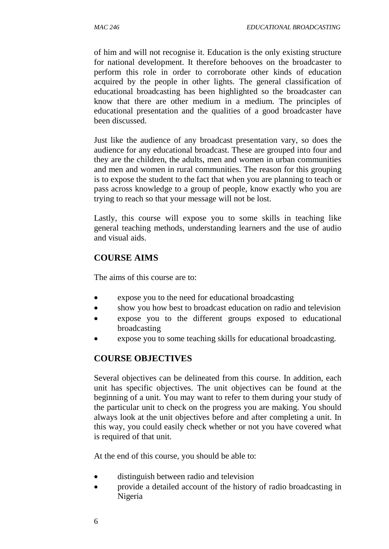of him and will not recognise it. Education is the only existing structure for national development. It therefore behooves on the broadcaster to perform this role in order to corroborate other kinds of education acquired by the people in other lights. The general classification of educational broadcasting has been highlighted so the broadcaster can know that there are other medium in a medium. The principles of educational presentation and the qualities of a good broadcaster have been discussed.

Just like the audience of any broadcast presentation vary, so does the audience for any educational broadcast. These are grouped into four and they are the children, the adults, men and women in urban communities and men and women in rural communities. The reason for this grouping is to expose the student to the fact that when you are planning to teach or pass across knowledge to a group of people, know exactly who you are trying to reach so that your message will not be lost.

Lastly, this course will expose you to some skills in teaching like general teaching methods, understanding learners and the use of audio and visual aids.

## **COURSE AIMS**

The aims of this course are to:

- expose you to the need for educational broadcasting
- show you how best to broadcast education on radio and television
- expose you to the different groups exposed to educational broadcasting
- expose you to some teaching skills for educational broadcasting.

## **COURSE OBJECTIVES**

Several objectives can be delineated from this course. In addition, each unit has specific objectives. The unit objectives can be found at the beginning of a unit. You may want to refer to them during your study of the particular unit to check on the progress you are making. You should always look at the unit objectives before and after completing a unit. In this way, you could easily check whether or not you have covered what is required of that unit.

At the end of this course, you should be able to:

- distinguish between radio and television
- provide a detailed account of the history of radio broadcasting in Nigeria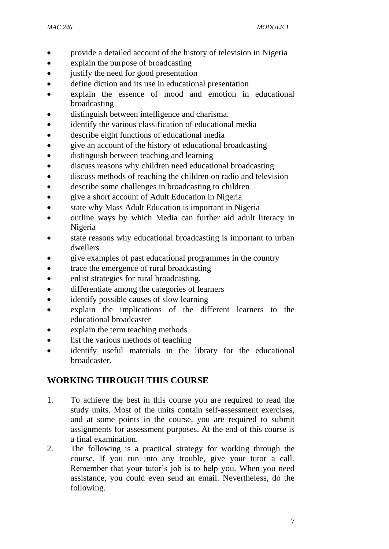- provide a detailed account of the history of television in Nigeria
- explain the purpose of broadcasting
- justify the need for good presentation
- define diction and its use in educational presentation
- explain the essence of mood and emotion in educational broadcasting
- distinguish between intelligence and charisma.
- identify the various classification of educational media
- describe eight functions of educational media
- give an account of the history of educational broadcasting
- distinguish between teaching and learning
- discuss reasons why children need educational broadcasting
- discuss methods of reaching the children on radio and television
- describe some challenges in broadcasting to children
- give a short account of Adult Education in Nigeria
- state why Mass Adult Education is important in Nigeria
- outline ways by which Media can further aid adult literacy in Nigeria
- state reasons why educational broadcasting is important to urban dwellers
- give examples of past educational programmes in the country
- trace the emergence of rural broadcasting
- enlist strategies for rural broadcasting.
- differentiate among the categories of learners
- identify possible causes of slow learning
- explain the implications of the different learners to the educational broadcaster
- explain the term teaching methods
- list the various methods of teaching
- identify useful materials in the library for the educational broadcaster.

## **WORKING THROUGH THIS COURSE**

- 1. To achieve the best in this course you are required to read the study units. Most of the units contain self-assessment exercises, and at some points in the course, you are required to submit assignments for assessment purposes. At the end of this course is a final examination.
- 2. The following is a practical strategy for working through the course. If you run into any trouble, give your tutor a call. Remember that your tutor's job is to help you. When you need assistance, you could even send an email. Nevertheless, do the following.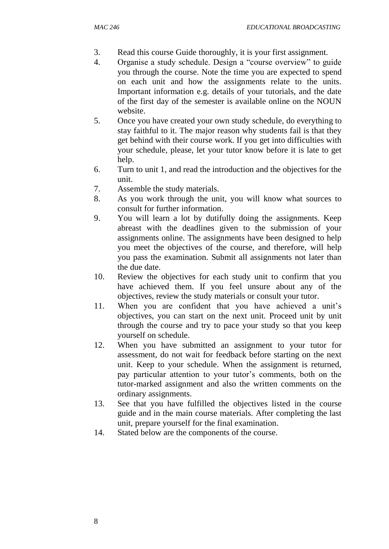- 3. Read this course Guide thoroughly, it is your first assignment.
- 4. Organise a study schedule. Design a "course overview" to guide you through the course. Note the time you are expected to spend on each unit and how the assignments relate to the units. Important information e.g. details of your tutorials, and the date of the first day of the semester is available online on the NOUN website.
- 5. Once you have created your own study schedule, do everything to stay faithful to it. The major reason why students fail is that they get behind with their course work. If you get into difficulties with your schedule, please, let your tutor know before it is late to get help.
- 6. Turn to unit 1, and read the introduction and the objectives for the unit.
- 7. Assemble the study materials.
- 8. As you work through the unit, you will know what sources to consult for further information.
- 9. You will learn a lot by dutifully doing the assignments. Keep abreast with the deadlines given to the submission of your assignments online. The assignments have been designed to help you meet the objectives of the course, and therefore, will help you pass the examination. Submit all assignments not later than the due date.
- 10. Review the objectives for each study unit to confirm that you have achieved them. If you feel unsure about any of the objectives, review the study materials or consult your tutor.
- 11. When you are confident that you have achieved a unit's objectives, you can start on the next unit. Proceed unit by unit through the course and try to pace your study so that you keep yourself on schedule.
- 12. When you have submitted an assignment to your tutor for assessment, do not wait for feedback before starting on the next unit. Keep to your schedule. When the assignment is returned, pay particular attention to your tutor's comments, both on the tutor-marked assignment and also the written comments on the ordinary assignments.
- 13. See that you have fulfilled the objectives listed in the course guide and in the main course materials. After completing the last unit, prepare yourself for the final examination.
- 14. Stated below are the components of the course.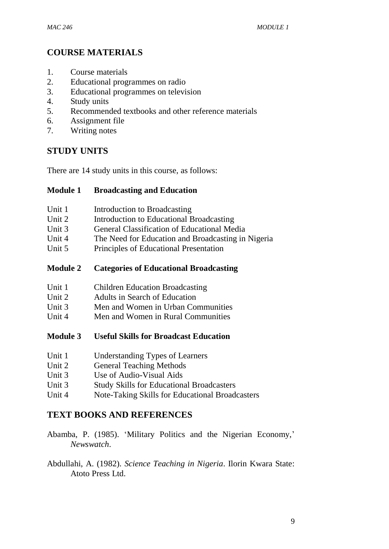## **COURSE MATERIALS**

- 1. Course materials
- 2. Educational programmes on radio
- 3. Educational programmes on television
- 4. Study units
- 5. Recommended textbooks and other reference materials
- 6. Assignment file
- 7. Writing notes

### **STUDY UNITS**

There are 14 study units in this course, as follows:

#### **Module 1 Broadcasting and Education**

- Unit 1 Introduction to Broadcasting
- Unit 2 Introduction to Educational Broadcasting
- Unit 3 General Classification of Educational Media
- Unit 4 The Need for Education and Broadcasting in Nigeria
- Unit 5 Principles of Educational Presentation
- **Module 2 Categories of Educational Broadcasting**
- Unit 1 Children Education Broadcasting
- Unit 2 Adults in Search of Education
- Unit 3 Men and Women in Urban Communities
- Unit 4 Men and Women in Rural Communities
- **Module 3 Useful Skills for Broadcast Education**
- Unit 1 Understanding Types of Learners
- Unit 2 General Teaching Methods
- Unit 3 Use of Audio-Visual Aids
- Unit 3 Study Skills for Educational Broadcasters
- Unit 4 Note-Taking Skills for Educational Broadcasters

#### **TEXT BOOKS AND REFERENCES**

- Abamba, P. (1985). 'Military Politics and the Nigerian Economy,' *Newswatch*.
- Abdullahi, A. (1982). *Science Teaching in Nigeria*. Ilorin Kwara State: Atoto Press Ltd.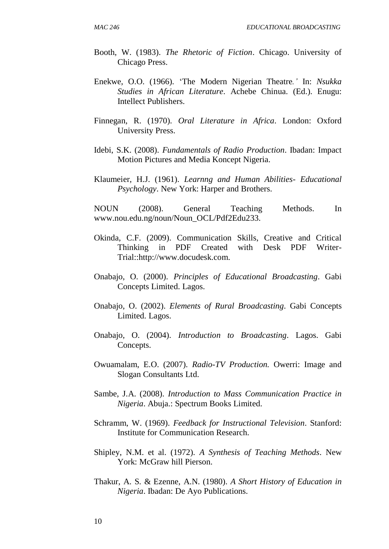- Booth, W. (1983). *The Rhetoric of Fiction*. Chicago. University of Chicago Press.
- Enekwe, O.O. (1966). 'The Modern Nigerian Theatre*.'* In: *Nsukka Studies in African Literature*. Achebe Chinua. (Ed.). Enugu: Intellect Publishers.
- Finnegan, R. (1970). *Oral Literature in Africa*. London: Oxford University Press.
- Idebi, S.K. (2008). *Fundamentals of Radio Production*. Ibadan: Impact Motion Pictures and Media Koncept Nigeria.
- Klaumeier, H.J. (1961). *Learnng and Human Abilities- Educational Psychology*. New York: Harper and Brothers.

NOUN (2008). General Teaching Methods. In www.nou.edu.ng/noun/Noun\_OCL/Pdf2Edu233.

- Okinda, C.F. (2009). Communication Skills, Creative and Critical Thinking in PDF Created with Desk PDF Writer-Trial::http://www.docudesk.com.
- Onabajo, O. (2000). *Principles of Educational Broadcasting*. Gabi Concepts Limited. Lagos.
- Onabajo, O. (2002). *Elements of Rural Broadcasting*. Gabi Concepts Limited. Lagos.
- Onabajo, O. (2004). *Introduction to Broadcasting*. Lagos. Gabi Concepts.
- Owuamalam, E.O. (2007). *Radio-TV Production.* Owerri: Image and Slogan Consultants Ltd.
- Sambe, J.A. (2008). *Introduction to Mass Communication Practice in Nigeria*. Abuja.: Spectrum Books Limited.
- Schramm, W. (1969). *Feedback for Instructional Television*. Stanford: Institute for Communication Research.
- Shipley, N.M. et al. (1972). *A Synthesis of Teaching Methods*. New York: McGraw hill Pierson.
- Thakur, A. S. & Ezenne, A.N. (1980). *A Short History of Education in Nigeria*. Ibadan: De Ayo Publications.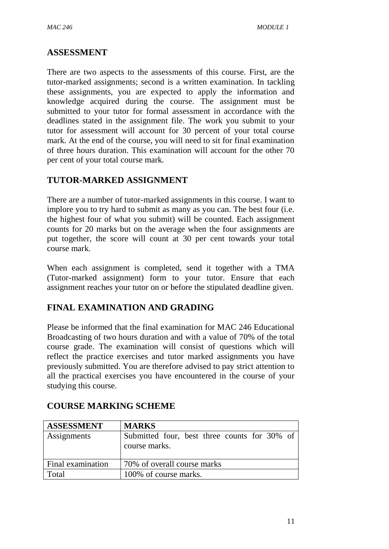#### **ASSESSMENT**

There are two aspects to the assessments of this course. First, are the tutor-marked assignments; second is a written examination. In tackling these assignments, you are expected to apply the information and knowledge acquired during the course. The assignment must be submitted to your tutor for formal assessment in accordance with the deadlines stated in the assignment file. The work you submit to your tutor for assessment will account for 30 percent of your total course mark. At the end of the course, you will need to sit for final examination of three hours duration. This examination will account for the other 70 per cent of your total course mark.

## **TUTOR-MARKED ASSIGNMENT**

There are a number of tutor-marked assignments in this course. I want to implore you to try hard to submit as many as you can. The best four (i.e. the highest four of what you submit) will be counted. Each assignment counts for 20 marks but on the average when the four assignments are put together, the score will count at 30 per cent towards your total course mark.

When each assignment is completed, send it together with a TMA (Tutor-marked assignment) form to your tutor. Ensure that each assignment reaches your tutor on or before the stipulated deadline given.

## **FINAL EXAMINATION AND GRADING**

Please be informed that the final examination for MAC 246 Educational Broadcasting of two hours duration and with a value of 70% of the total course grade. The examination will consist of questions which will reflect the practice exercises and tutor marked assignments you have previously submitted. You are therefore advised to pay strict attention to all the practical exercises you have encountered in the course of your studying this course.

| <b>ASSESSMENT</b> | <b>MARKS</b>                                                  |  |  |
|-------------------|---------------------------------------------------------------|--|--|
| Assignments       | Submitted four, best three counts for 30% of<br>course marks. |  |  |
| Final examination | 70% of overall course marks                                   |  |  |
| Total             | 100% of course marks.                                         |  |  |

## **COURSE MARKING SCHEME**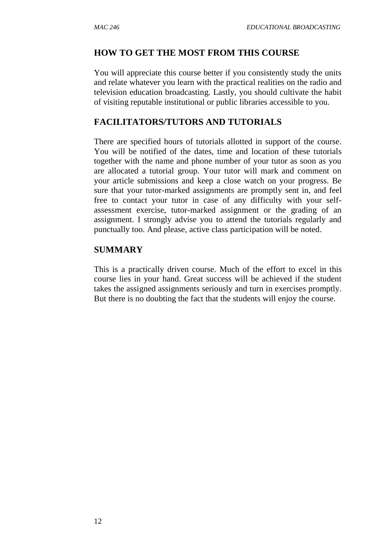#### **HOW TO GET THE MOST FROM THIS COURSE**

You will appreciate this course better if you consistently study the units and relate whatever you learn with the practical realities on the radio and television education broadcasting. Lastly, you should cultivate the habit of visiting reputable institutional or public libraries accessible to you.

### **FACILITATORS/TUTORS AND TUTORIALS**

There are specified hours of tutorials allotted in support of the course. You will be notified of the dates, time and location of these tutorials together with the name and phone number of your tutor as soon as you are allocated a tutorial group. Your tutor will mark and comment on your article submissions and keep a close watch on your progress. Be sure that your tutor-marked assignments are promptly sent in, and feel free to contact your tutor in case of any difficulty with your selfassessment exercise, tutor-marked assignment or the grading of an assignment. I strongly advise you to attend the tutorials regularly and punctually too. And please, active class participation will be noted.

#### **SUMMARY**

This is a practically driven course. Much of the effort to excel in this course lies in your hand. Great success will be achieved if the student takes the assigned assignments seriously and turn in exercises promptly. But there is no doubting the fact that the students will enjoy the course.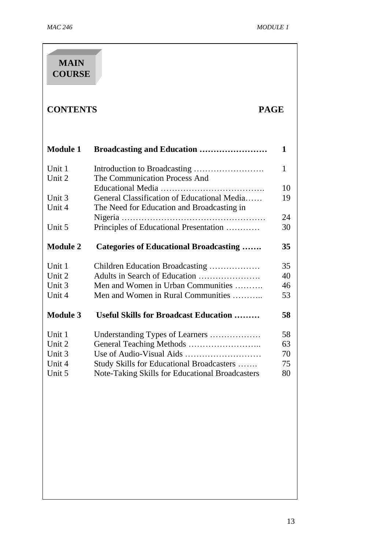| <b>MAIN</b><br><b>COURSE</b>                   |                                                                                                                                                             |                            |
|------------------------------------------------|-------------------------------------------------------------------------------------------------------------------------------------------------------------|----------------------------|
| <b>CONTENTS</b>                                |                                                                                                                                                             | <b>PAGE</b>                |
| <b>Module 1</b>                                | Broadcasting and Education                                                                                                                                  | 1                          |
| Unit 1<br>Unit 2                               | The Communication Process And                                                                                                                               | 1                          |
| Unit 3<br>Unit 4                               | General Classification of Educational Media<br>The Need for Education and Broadcasting in                                                                   | 10<br>19                   |
| Unit 5                                         | Principles of Educational Presentation                                                                                                                      | 24<br>30                   |
| <b>Module 2</b>                                | <b>Categories of Educational Broadcasting </b>                                                                                                              | 35                         |
| Unit 1<br>Unit 2<br>Unit 3<br>Unit 4           | Children Education Broadcasting<br>Men and Women in Urban Communities<br>Men and Women in Rural Communities                                                 | 35<br>40<br>46<br>53       |
| <b>Module 3</b>                                | <b>Useful Skills for Broadcast Education </b>                                                                                                               | 58                         |
| Unit 1<br>Unit 2<br>Unit 3<br>Unit 4<br>Unit 5 | Understanding Types of Learners<br>General Teaching Methods<br>Study Skills for Educational Broadcasters<br>Note-Taking Skills for Educational Broadcasters | 58<br>63<br>70<br>75<br>80 |
|                                                |                                                                                                                                                             |                            |
|                                                |                                                                                                                                                             |                            |
|                                                |                                                                                                                                                             |                            |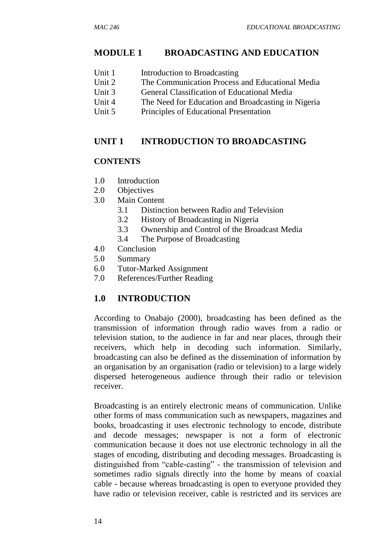### **MODULE 1 BROADCASTING AND EDUCATION**

- Unit 1 Introduction to Broadcasting
- Unit 2 The Communication Process and Educational Media
- Unit 3 General Classification of Educational Media
- Unit 4 The Need for Education and Broadcasting in Nigeria
- Unit 5 Principles of Educational Presentation

## **UNIT 1 INTRODUCTION TO BROADCASTING**

### **CONTENTS**

- 1.0 Introduction
- 2.0 Objectives
- 3.0 Main Content
	- 3.1 Distinction between Radio and Television
	- 3.2 History of Broadcasting in Nigeria
	- 3.3 Ownership and Control of the Broadcast Media
	- 3.4 The Purpose of Broadcasting
- 4.0 Conclusion
- 5.0 Summary
- 6.0 Tutor-Marked Assignment
- 7.0 References/Further Reading

## **1.0 INTRODUCTION**

According to Onabajo (2000), broadcasting has been defined as the transmission of information through radio waves from a radio or television station, to the audience in far and near places, through their receivers, which help in decoding such information. Similarly, broadcasting can also be defined as the dissemination of information by an organisation by an organisation (radio or television) to a large widely dispersed heterogeneous audience through their radio or television receiver.

Broadcasting is an entirely electronic means of communication. Unlike other forms of mass communication such as newspapers, magazines and books, broadcasting it uses electronic technology to encode, distribute and decode messages; newspaper is not a form of electronic communication because it does not use electronic technology in all the stages of encoding, distributing and decoding messages. Broadcasting is distinguished from "cable-casting" - the transmission of television and sometimes radio signals directly into the home by means of coaxial cable - because whereas broadcasting is open to everyone provided they have radio or television receiver, cable is restricted and its services are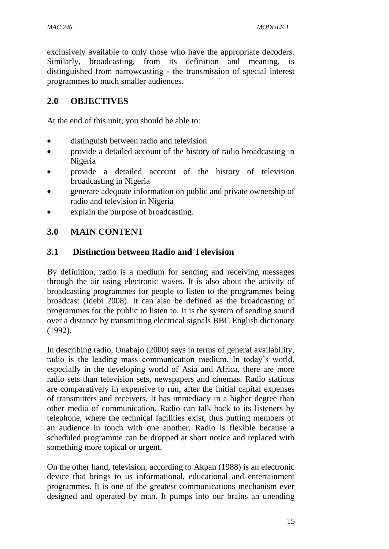exclusively available to only those who have the appropriate decoders. Similarly, broadcasting, from its definition and meaning, is distinguished from narrowcasting - the transmission of special interest programmes to much smaller audiences.

## **2.0 OBJECTIVES**

At the end of this unit, you should be able to:

- distinguish between radio and television
- provide a detailed account of the history of radio broadcasting in Nigeria
- provide a detailed account of the history of television broadcasting in Nigeria
- generate adequate information on public and private ownership of radio and television in Nigeria
- explain the purpose of broadcasting.

## **3.0 MAIN CONTENT**

### **3.1 Distinction between Radio and Television**

By definition, radio is a medium for sending and receiving messages through the air using electronic waves. It is also about the activity of broadcasting programmes for people to listen to the programmes being broadcast (Idebi 2008). It can also be defined as the broadcasting of programmes for the public to listen to. It is the system of sending sound over a distance by transmitting electrical signals BBC English dictionary (1992).

In describing radio, Onabajo (2000) says in terms of general availability, radio is the leading mass communication medium. In today's world, especially in the developing world of Asia and Africa, there are more radio sets than television sets, newspapers and cinemas. Radio stations are comparatively in expensive to run, after the initial capital expenses of transmitters and receivers. It has immediacy in a higher degree than other media of communication. Radio can talk back to its listeners by telephone, where the technical facilities exist, thus putting members of an audience in touch with one another. Radio is flexible because a scheduled programme can be dropped at short notice and replaced with something more topical or urgent.

On the other hand, television, according to Akpan (1988) is an electronic device that brings to us informational, educational and entertainment programmes. It is one of the greatest communications mechanism ever designed and operated by man. It pumps into our brains an unending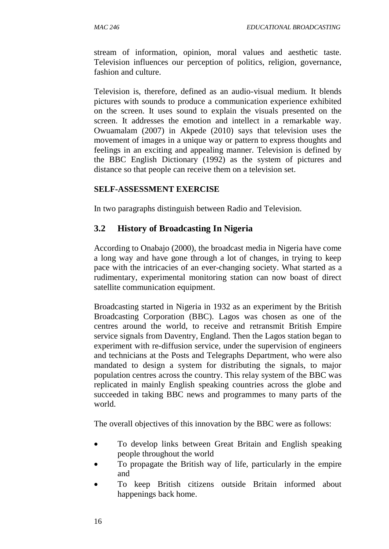stream of information, opinion, moral values and aesthetic taste. Television influences our perception of politics, religion, governance, fashion and culture.

Television is, therefore, defined as an audio-visual medium. It blends pictures with sounds to produce a communication experience exhibited on the screen. It uses sound to explain the visuals presented on the screen. It addresses the emotion and intellect in a remarkable way. Owuamalam (2007) in Akpede (2010) says that television uses the movement of images in a unique way or pattern to express thoughts and feelings in an exciting and appealing manner. Television is defined by the BBC English Dictionary (1992) as the system of pictures and distance so that people can receive them on a television set.

#### **SELF-ASSESSMENT EXERCISE**

In two paragraphs distinguish between Radio and Television.

#### **3.2 History of Broadcasting In Nigeria**

According to Onabajo (2000), the broadcast media in Nigeria have come a long way and have gone through a lot of changes, in trying to keep pace with the intricacies of an ever-changing society. What started as a rudimentary, experimental monitoring station can now boast of direct satellite communication equipment.

Broadcasting started in Nigeria in 1932 as an experiment by the British Broadcasting Corporation (BBC). Lagos was chosen as one of the centres around the world, to receive and retransmit British Empire service signals from Daventry, England. Then the Lagos station began to experiment with re-diffusion service, under the supervision of engineers and technicians at the Posts and Telegraphs Department, who were also mandated to design a system for distributing the signals, to major population centres across the country. This relay system of the BBC was replicated in mainly English speaking countries across the globe and succeeded in taking BBC news and programmes to many parts of the world.

The overall objectives of this innovation by the BBC were as follows:

- To develop links between Great Britain and English speaking people throughout the world
- To propagate the British way of life, particularly in the empire and
- To keep British citizens outside Britain informed about happenings back home.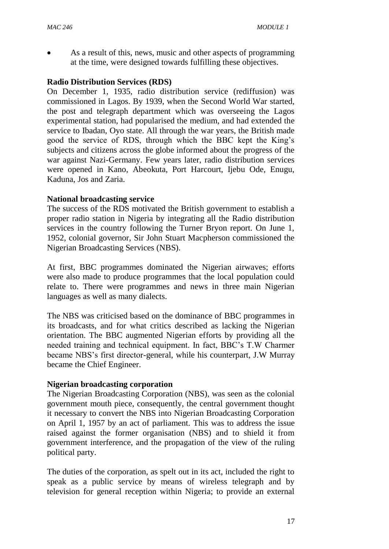As a result of this, news, music and other aspects of programming at the time, were designed towards fulfilling these objectives.

#### **Radio Distribution Services (RDS)**

On December 1, 1935, radio distribution service (rediffusion) was commissioned in Lagos. By 1939, when the Second World War started, the post and telegraph department which was overseeing the Lagos experimental station, had popularised the medium, and had extended the service to Ibadan, Oyo state. All through the war years, the British made good the service of RDS, through which the BBC kept the King's subjects and citizens across the globe informed about the progress of the war against Nazi-Germany. Few years later, radio distribution services were opened in Kano, Abeokuta, Port Harcourt, Ijebu Ode, Enugu, Kaduna, Jos and Zaria.

#### **National broadcasting service**

The success of the RDS motivated the British government to establish a proper radio station in Nigeria by integrating all the Radio distribution services in the country following the Turner Bryon report. On June 1, 1952, colonial governor, Sir John Stuart Macpherson commissioned the Nigerian Broadcasting Services (NBS).

At first, BBC programmes dominated the Nigerian airwaves; efforts were also made to produce programmes that the local population could relate to. There were programmes and news in three main Nigerian languages as well as many dialects.

The NBS was criticised based on the dominance of BBC programmes in its broadcasts, and for what critics described as lacking the Nigerian orientation. The BBC augmented Nigerian efforts by providing all the needed training and technical equipment. In fact, BBC's T.W Charmer became NBS's first director-general, while his counterpart, J.W Murray became the Chief Engineer.

#### **Nigerian broadcasting corporation**

The Nigerian Broadcasting Corporation (NBS), was seen as the colonial government mouth piece, consequently, the central government thought it necessary to convert the NBS into Nigerian Broadcasting Corporation on April 1, 1957 by an act of parliament. This was to address the issue raised against the former organisation (NBS) and to shield it from government interference, and the propagation of the view of the ruling political party.

The duties of the corporation, as spelt out in its act, included the right to speak as a public service by means of wireless telegraph and by television for general reception within Nigeria; to provide an external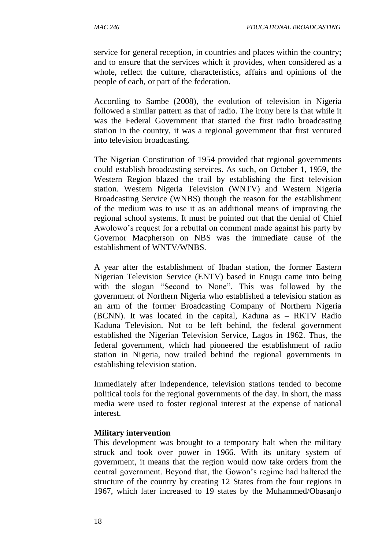service for general reception, in countries and places within the country; and to ensure that the services which it provides, when considered as a whole, reflect the culture, characteristics, affairs and opinions of the people of each, or part of the federation.

According to Sambe (2008), the evolution of television in Nigeria followed a similar pattern as that of radio. The irony here is that while it was the Federal Government that started the first radio broadcasting station in the country, it was a regional government that first ventured into television broadcasting.

The Nigerian Constitution of 1954 provided that regional governments could establish broadcasting services. As such, on October 1, 1959, the Western Region blazed the trail by establishing the first television station. Western Nigeria Television (WNTV) and Western Nigeria Broadcasting Service (WNBS) though the reason for the establishment of the medium was to use it as an additional means of improving the regional school systems. It must be pointed out that the denial of Chief Awolowo's request for a rebuttal on comment made against his party by Governor Macpherson on NBS was the immediate cause of the establishment of WNTV/WNBS.

A year after the establishment of Ibadan station, the former Eastern Nigerian Television Service (ENTV) based in Enugu came into being with the slogan "Second to None". This was followed by the government of Northern Nigeria who established a television station as an arm of the former Broadcasting Company of Northern Nigeria (BCNN). It was located in the capital, Kaduna as – RKTV Radio Kaduna Television. Not to be left behind, the federal government established the Nigerian Television Service, Lagos in 1962. Thus, the federal government, which had pioneered the establishment of radio station in Nigeria, now trailed behind the regional governments in establishing television station.

Immediately after independence, television stations tended to become political tools for the regional governments of the day. In short, the mass media were used to foster regional interest at the expense of national interest.

#### **Military intervention**

This development was brought to a temporary halt when the military struck and took over power in 1966. With its unitary system of government, it means that the region would now take orders from the central government. Beyond that, the Gowon's regime had haltered the structure of the country by creating 12 States from the four regions in 1967, which later increased to 19 states by the Muhammed/Obasanjo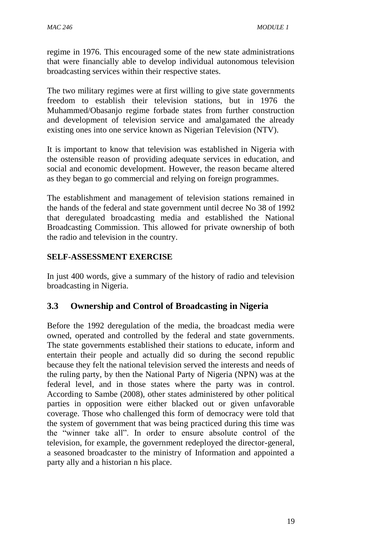regime in 1976. This encouraged some of the new state administrations that were financially able to develop individual autonomous television broadcasting services within their respective states.

The two military regimes were at first willing to give state governments freedom to establish their television stations, but in 1976 the Muhammed/Obasanjo regime forbade states from further construction and development of television service and amalgamated the already existing ones into one service known as Nigerian Television (NTV).

It is important to know that television was established in Nigeria with the ostensible reason of providing adequate services in education, and social and economic development. However, the reason became altered as they began to go commercial and relying on foreign programmes.

The establishment and management of television stations remained in the hands of the federal and state government until decree No 38 of 1992 that deregulated broadcasting media and established the National Broadcasting Commission. This allowed for private ownership of both the radio and television in the country.

#### **SELF-ASSESSMENT EXERCISE**

In just 400 words, give a summary of the history of radio and television broadcasting in Nigeria.

#### **3.3 Ownership and Control of Broadcasting in Nigeria**

Before the 1992 deregulation of the media, the broadcast media were owned, operated and controlled by the federal and state governments. The state governments established their stations to educate, inform and entertain their people and actually did so during the second republic because they felt the national television served the interests and needs of the ruling party, by then the National Party of Nigeria (NPN) was at the federal level, and in those states where the party was in control. According to Sambe (2008), other states administered by other political parties in opposition were either blacked out or given unfavorable coverage. Those who challenged this form of democracy were told that the system of government that was being practiced during this time was the "winner take all". In order to ensure absolute control of the television, for example, the government redeployed the director-general, a seasoned broadcaster to the ministry of Information and appointed a party ally and a historian n his place.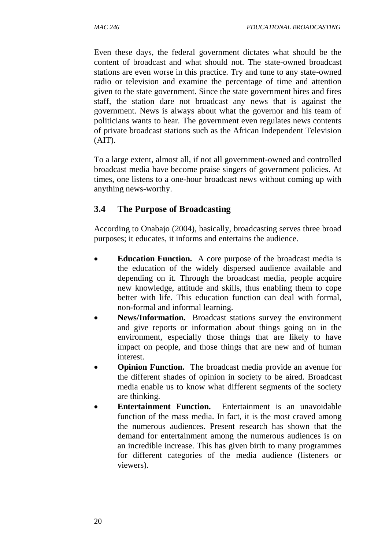Even these days, the federal government dictates what should be the content of broadcast and what should not. The state-owned broadcast stations are even worse in this practice. Try and tune to any state-owned radio or television and examine the percentage of time and attention given to the state government. Since the state government hires and fires staff, the station dare not broadcast any news that is against the government. News is always about what the governor and his team of politicians wants to hear. The government even regulates news contents of private broadcast stations such as the African Independent Television  $(AIT)$ .

To a large extent, almost all, if not all government-owned and controlled broadcast media have become praise singers of government policies. At times, one listens to a one-hour broadcast news without coming up with anything news-worthy.

## **3.4 The Purpose of Broadcasting**

According to Onabajo (2004), basically, broadcasting serves three broad purposes; it educates, it informs and entertains the audience.

- **Education Function.** A core purpose of the broadcast media is the education of the widely dispersed audience available and depending on it. Through the broadcast media, people acquire new knowledge, attitude and skills, thus enabling them to cope better with life. This education function can deal with formal, non-formal and informal learning.
- **News/Information.** Broadcast stations survey the environment and give reports or information about things going on in the environment, especially those things that are likely to have impact on people, and those things that are new and of human interest.
- **Opinion Function.** The broadcast media provide an avenue for the different shades of opinion in society to be aired. Broadcast media enable us to know what different segments of the society are thinking.
- **Entertainment Function.** Entertainment is an unavoidable function of the mass media. In fact, it is the most craved among the numerous audiences. Present research has shown that the demand for entertainment among the numerous audiences is on an incredible increase. This has given birth to many programmes for different categories of the media audience (listeners or viewers).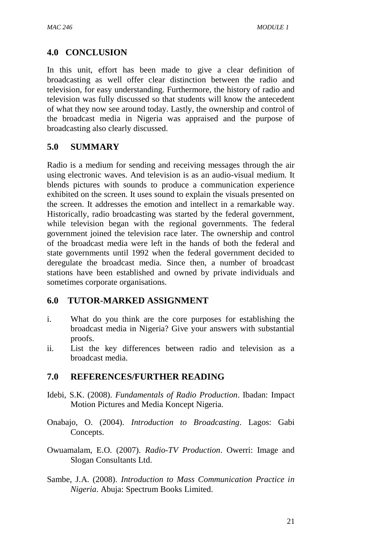## **4.0 CONCLUSION**

In this unit, effort has been made to give a clear definition of broadcasting as well offer clear distinction between the radio and television, for easy understanding. Furthermore, the history of radio and television was fully discussed so that students will know the antecedent of what they now see around today. Lastly, the ownership and control of the broadcast media in Nigeria was appraised and the purpose of broadcasting also clearly discussed.

## **5.0 SUMMARY**

Radio is a medium for sending and receiving messages through the air using electronic waves. And television is as an audio-visual medium. It blends pictures with sounds to produce a communication experience exhibited on the screen. It uses sound to explain the visuals presented on the screen. It addresses the emotion and intellect in a remarkable way. Historically, radio broadcasting was started by the federal government, while television began with the regional governments. The federal government joined the television race later. The ownership and control of the broadcast media were left in the hands of both the federal and state governments until 1992 when the federal government decided to deregulate the broadcast media. Since then, a number of broadcast stations have been established and owned by private individuals and sometimes corporate organisations.

#### **6.0 TUTOR-MARKED ASSIGNMENT**

- i. What do you think are the core purposes for establishing the broadcast media in Nigeria? Give your answers with substantial proofs.
- ii. List the key differences between radio and television as a broadcast media.

## **7.0 REFERENCES/FURTHER READING**

- Idebi, S.K. (2008). *Fundamentals of Radio Production*. Ibadan: Impact Motion Pictures and Media Koncept Nigeria.
- Onabajo, O. (2004). *Introduction to Broadcasting*. Lagos: Gabi Concepts.
- Owuamalam, E.O. (2007). *Radio-TV Production*. Owerri: Image and Slogan Consultants Ltd.
- Sambe, J.A. (2008). *Introduction to Mass Communication Practice in Nigeria*. Abuja: Spectrum Books Limited.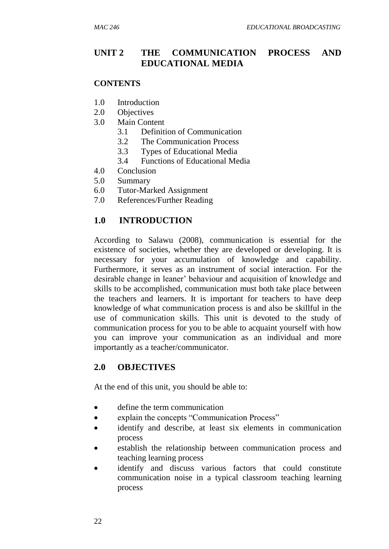## **UNIT 2 THE COMMUNICATION PROCESS AND EDUCATIONAL MEDIA**

#### **CONTENTS**

- 1.0 Introduction
- 2.0 Objectives
- 3.0 Main Content
	- 3.1 Definition of Communication
	- 3.2 The Communication Process
	- 3.3 Types of Educational Media
	- 3.4 Functions of Educational Media
- 4.0 Conclusion
- 5.0 Summary
- 6.0 Tutor-Marked Assignment
- 7.0 References/Further Reading

#### **1.0 INTRODUCTION**

According to Salawu (2008), communication is essential for the existence of societies, whether they are developed or developing. It is necessary for your accumulation of knowledge and capability. Furthermore, it serves as an instrument of social interaction. For the desirable change in leaner' behaviour and acquisition of knowledge and skills to be accomplished, communication must both take place between the teachers and learners. It is important for teachers to have deep knowledge of what communication process is and also be skillful in the use of communication skills. This unit is devoted to the study of communication process for you to be able to acquaint yourself with how you can improve your communication as an individual and more importantly as a teacher/communicator.

#### **2.0 OBJECTIVES**

At the end of this unit, you should be able to:

- define the term communication
- explain the concepts "Communication Process"
- identify and describe, at least six elements in communication process
- establish the relationship between communication process and teaching learning process
- identify and discuss various factors that could constitute communication noise in a typical classroom teaching learning process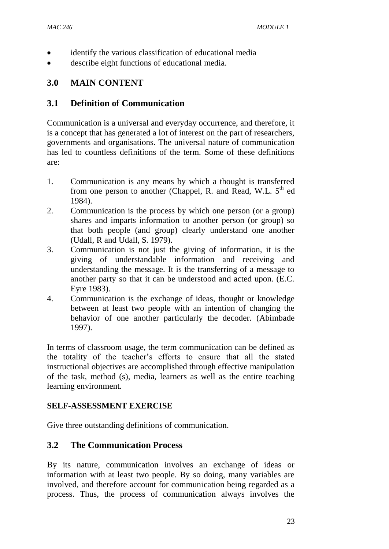- identify the various classification of educational media
- describe eight functions of educational media.

## **3.0 MAIN CONTENT**

#### **3.1 Definition of Communication**

Communication is a universal and everyday occurrence, and therefore, it is a concept that has generated a lot of interest on the part of researchers, governments and organisations. The universal nature of communication has led to countless definitions of the term. Some of these definitions are:

- 1. Communication is any means by which a thought is transferred from one person to another (Chappel, R. and Read, W.L.  $5<sup>th</sup>$  ed 1984).
- 2. Communication is the process by which one person (or a group) shares and imparts information to another person (or group) so that both people (and group) clearly understand one another (Udall, R and Udall, S. 1979).
- 3. Communication is not just the giving of information, it is the giving of understandable information and receiving and understanding the message. It is the transferring of a message to another party so that it can be understood and acted upon. (E.C. Eyre 1983).
- 4. Communication is the exchange of ideas, thought or knowledge between at least two people with an intention of changing the behavior of one another particularly the decoder. (Abimbade 1997).

In terms of classroom usage, the term communication can be defined as the totality of the teacher's efforts to ensure that all the stated instructional objectives are accomplished through effective manipulation of the task, method (s), media, learners as well as the entire teaching learning environment.

#### **SELF-ASSESSMENT EXERCISE**

Give three outstanding definitions of communication.

#### **3.2 The Communication Process**

By its nature, communication involves an exchange of ideas or information with at least two people. By so doing, many variables are involved, and therefore account for communication being regarded as a process. Thus, the process of communication always involves the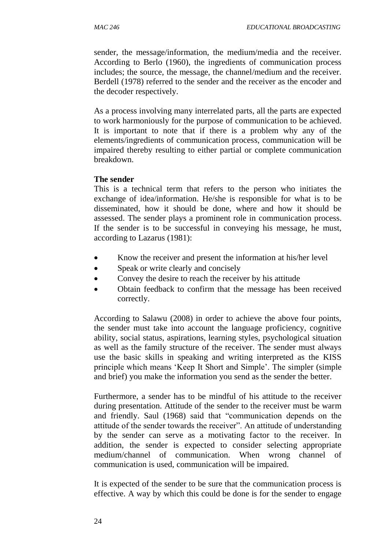sender, the message/information, the medium/media and the receiver. According to Berlo (1960), the ingredients of communication process includes; the source, the message, the channel/medium and the receiver. Berdell (1978) referred to the sender and the receiver as the encoder and the decoder respectively.

As a process involving many interrelated parts, all the parts are expected to work harmoniously for the purpose of communication to be achieved. It is important to note that if there is a problem why any of the elements/ingredients of communication process, communication will be impaired thereby resulting to either partial or complete communication breakdown.

#### **The sender**

This is a technical term that refers to the person who initiates the exchange of idea/information. He/she is responsible for what is to be disseminated, how it should be done, where and how it should be assessed. The sender plays a prominent role in communication process. If the sender is to be successful in conveying his message, he must, according to Lazarus (1981):

- Know the receiver and present the information at his/her level
- Speak or write clearly and concisely
- Convey the desire to reach the receiver by his attitude
- Obtain feedback to confirm that the message has been received correctly.

According to Salawu (2008) in order to achieve the above four points, the sender must take into account the language proficiency, cognitive ability, social status, aspirations, learning styles, psychological situation as well as the family structure of the receiver. The sender must always use the basic skills in speaking and writing interpreted as the KISS principle which means 'Keep It Short and Simple'. The simpler (simple and brief) you make the information you send as the sender the better.

Furthermore, a sender has to be mindful of his attitude to the receiver during presentation. Attitude of the sender to the receiver must be warm and friendly. Saul (1968) said that "communication depends on the attitude of the sender towards the receiver". An attitude of understanding by the sender can serve as a motivating factor to the receiver. In addition, the sender is expected to consider selecting appropriate medium/channel of communication. When wrong channel of communication is used, communication will be impaired.

It is expected of the sender to be sure that the communication process is effective. A way by which this could be done is for the sender to engage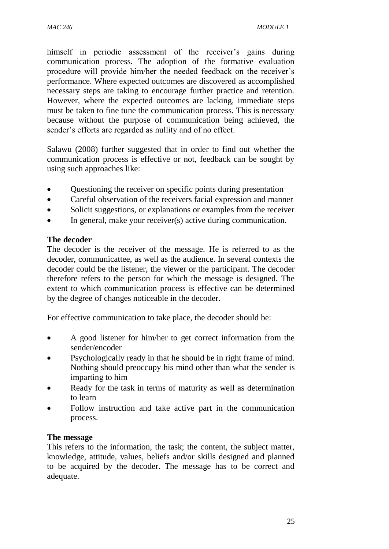himself in periodic assessment of the receiver's gains during communication process. The adoption of the formative evaluation procedure will provide him/her the needed feedback on the receiver's performance. Where expected outcomes are discovered as accomplished necessary steps are taking to encourage further practice and retention. However, where the expected outcomes are lacking, immediate steps must be taken to fine tune the communication process. This is necessary because without the purpose of communication being achieved, the sender's efforts are regarded as nullity and of no effect.

Salawu (2008) further suggested that in order to find out whether the communication process is effective or not, feedback can be sought by using such approaches like:

- Questioning the receiver on specific points during presentation
- Careful observation of the receivers facial expression and manner
- Solicit suggestions, or explanations or examples from the receiver
- In general, make your receiver(s) active during communication.

#### **The decoder**

The decoder is the receiver of the message. He is referred to as the decoder, communicattee, as well as the audience. In several contexts the decoder could be the listener, the viewer or the participant. The decoder therefore refers to the person for which the message is designed. The extent to which communication process is effective can be determined by the degree of changes noticeable in the decoder.

For effective communication to take place, the decoder should be:

- A good listener for him/her to get correct information from the sender/encoder
- Psychologically ready in that he should be in right frame of mind. Nothing should preoccupy his mind other than what the sender is imparting to him
- Ready for the task in terms of maturity as well as determination to learn
- Follow instruction and take active part in the communication process.

#### **The message**

This refers to the information, the task; the content, the subject matter, knowledge, attitude, values, beliefs and/or skills designed and planned to be acquired by the decoder. The message has to be correct and adequate.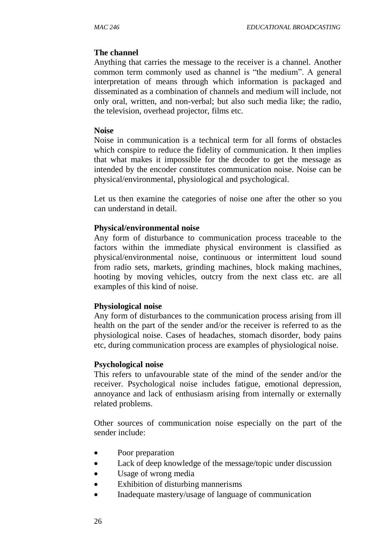#### **The channel**

Anything that carries the message to the receiver is a channel. Another common term commonly used as channel is "the medium". A general interpretation of means through which information is packaged and disseminated as a combination of channels and medium will include, not only oral, written, and non-verbal; but also such media like; the radio, the television, overhead projector, films etc.

#### **Noise**

Noise in communication is a technical term for all forms of obstacles which conspire to reduce the fidelity of communication. It then implies that what makes it impossible for the decoder to get the message as intended by the encoder constitutes communication noise. Noise can be physical/environmental, physiological and psychological.

Let us then examine the categories of noise one after the other so you can understand in detail.

#### **Physical/environmental noise**

Any form of disturbance to communication process traceable to the factors within the immediate physical environment is classified as physical/environmental noise, continuous or intermittent loud sound from radio sets, markets, grinding machines, block making machines, hooting by moving vehicles, outcry from the next class etc. are all examples of this kind of noise.

#### **Physiological noise**

Any form of disturbances to the communication process arising from ill health on the part of the sender and/or the receiver is referred to as the physiological noise. Cases of headaches, stomach disorder, body pains etc, during communication process are examples of physiological noise.

#### **Psychological noise**

This refers to unfavourable state of the mind of the sender and/or the receiver. Psychological noise includes fatigue, emotional depression, annoyance and lack of enthusiasm arising from internally or externally related problems.

Other sources of communication noise especially on the part of the sender include:

- Poor preparation
- Lack of deep knowledge of the message/topic under discussion
- Usage of wrong media
- Exhibition of disturbing mannerisms
- Inadequate mastery/usage of language of communication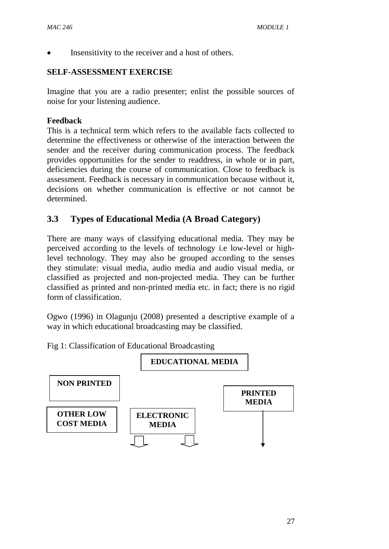Insensitivity to the receiver and a host of others.

#### **SELF-ASSESSMENT EXERCISE**

Imagine that you are a radio presenter; enlist the possible sources of noise for your listening audience.

#### **Feedback**

This is a technical term which refers to the available facts collected to determine the effectiveness or otherwise of the interaction between the sender and the receiver during communication process. The feedback provides opportunities for the sender to readdress, in whole or in part, deficiencies during the course of communication. Close to feedback is assessment. Feedback is necessary in communication because without it, decisions on whether communication is effective or not cannot be determined.

## **3.3 Types of Educational Media (A Broad Category)**

There are many ways of classifying educational media. They may be perceived according to the levels of technology i.e low-level or highlevel technology. They may also be grouped according to the senses they stimulate: visual media, audio media and audio visual media, or classified as projected and non-projected media. They can be further classified as printed and non-printed media etc. in fact; there is no rigid form of classification.

Ogwo (1996) in Olagunju (2008) presented a descriptive example of a way in which educational broadcasting may be classified.

Fig 1: Classification of Educational Broadcasting

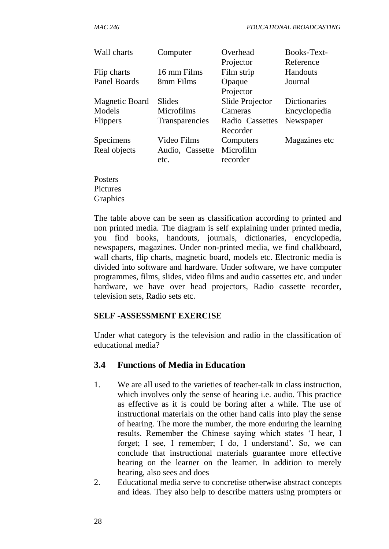| Wall charts         | Computer        | Overhead<br>Projector | Books-Text-<br>Reference |
|---------------------|-----------------|-----------------------|--------------------------|
| Flip charts         | 16 mm Films     | Film strip            | Handouts                 |
| <b>Panel Boards</b> | 8mm Films       | Opaque                | Journal                  |
|                     |                 | Projector             |                          |
| Magnetic Board      | Slides          | Slide Projector       | <b>Dictionaries</b>      |
| Models              | Microfilms      | Cameras               | Encyclopedia             |
| <b>Flippers</b>     | Transparencies  | Radio Cassettes       | Newspaper                |
|                     |                 | Recorder              |                          |
| Specimens           | Video Films     | Computers             | Magazines etc            |
| Real objects        | Audio, Cassette | Microfilm             |                          |
|                     | etc.            | recorder              |                          |
| Posters             |                 |                       |                          |

Pictures **Graphics** 

The table above can be seen as classification according to printed and non printed media. The diagram is self explaining under printed media, you find books, handouts, journals, dictionaries, encyclopedia, newspapers, magazines. Under non-printed media, we find chalkboard, wall charts, flip charts, magnetic board, models etc. Electronic media is divided into software and hardware. Under software, we have computer programmes, films, slides, video films and audio cassettes etc. and under hardware, we have over head projectors, Radio cassette recorder, television sets, Radio sets etc.

#### **SELF -ASSESSMENT EXERCISE**

Under what category is the television and radio in the classification of educational media?

#### **3.4 Functions of Media in Education**

- 1. We are all used to the varieties of teacher-talk in class instruction, which involves only the sense of hearing i.e. audio. This practice as effective as it is could be boring after a while. The use of instructional materials on the other hand calls into play the sense of hearing. The more the number, the more enduring the learning results. Remember the Chinese saying which states 'I hear, I forget; I see, I remember; I do, I understand'. So, we can conclude that instructional materials guarantee more effective hearing on the learner on the learner. In addition to merely hearing, also sees and does
- 2. Educational media serve to concretise otherwise abstract concepts and ideas. They also help to describe matters using prompters or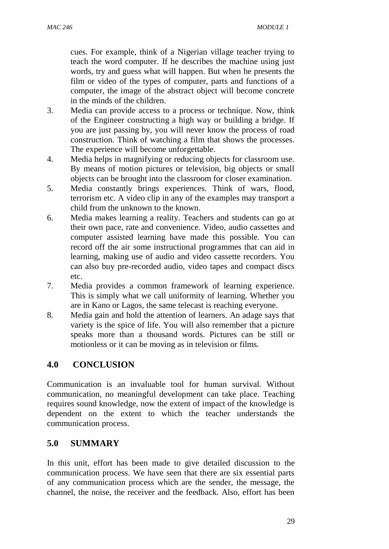cues. For example, think of a Nigerian village teacher trying to teach the word computer. If he describes the machine using just words, try and guess what will happen. But when he presents the film or video of the types of computer, parts and functions of a computer, the image of the abstract object will become concrete in the minds of the children.

- 3. Media can provide access to a process or technique. Now, think of the Engineer constructing a high way or building a bridge. If you are just passing by, you will never know the process of road construction. Think of watching a film that shows the processes. The experience will become unforgettable.
- 4. Media helps in magnifying or reducing objects for classroom use. By means of motion pictures or television, big objects or small objects can be brought into the classroom for closer examination.
- 5. Media constantly brings experiences. Think of wars, flood, terrorism etc. A video clip in any of the examples may transport a child from the unknown to the known.
- 6. Media makes learning a reality. Teachers and students can go at their own pace, rate and convenience. Video, audio cassettes and computer assisted learning have made this possible. You can record off the air some instructional programmes that can aid in learning, making use of audio and video cassette recorders. You can also buy pre-recorded audio, video tapes and compact discs etc.
- 7. Media provides a common framework of learning experience. This is simply what we call uniformity of learning. Whether you are in Kano or Lagos, the same telecast is reaching everyone.
- 8. Media gain and hold the attention of learners. An adage says that variety is the spice of life. You will also remember that a picture speaks more than a thousand words. Pictures can be still or motionless or it can be moving as in television or films.

## **4.0 CONCLUSION**

Communication is an invaluable tool for human survival. Without communication, no meaningful development can take place. Teaching requires sound knowledge, now the extent of impact of the knowledge is dependent on the extent to which the teacher understands the communication process.

## **5.0 SUMMARY**

In this unit, effort has been made to give detailed discussion to the communication process. We have seen that there are six essential parts of any communication process which are the sender, the message, the channel, the noise, the receiver and the feedback. Also, effort has been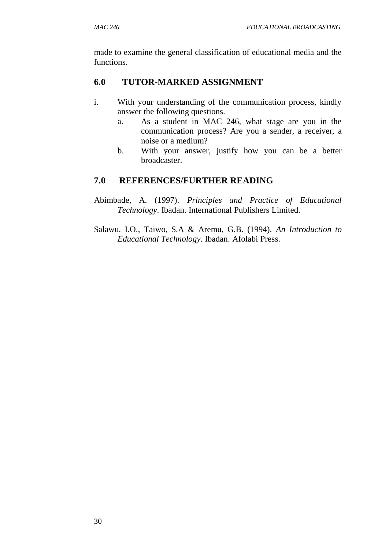made to examine the general classification of educational media and the functions.

### **6.0 TUTOR-MARKED ASSIGNMENT**

- i. With your understanding of the communication process, kindly answer the following questions.
	- a. As a student in MAC 246, what stage are you in the communication process? Are you a sender, a receiver, a noise or a medium?
	- b. With your answer, justify how you can be a better broadcaster.

### **7.0 REFERENCES/FURTHER READING**

- Abimbade, A. (1997). *Principles and Practice of Educational Technology*. Ibadan. International Publishers Limited.
- Salawu, I.O., Taiwo, S.A & Aremu, G.B. (1994). *An Introduction to Educational Technology*. Ibadan. Afolabi Press.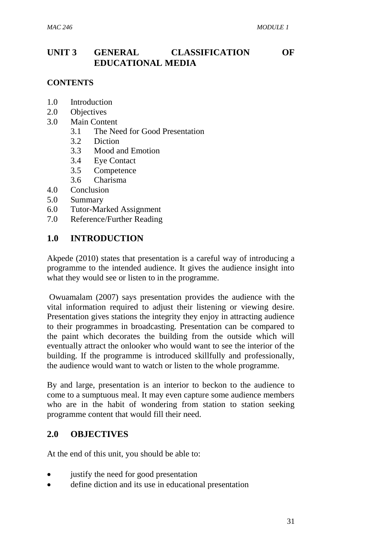## **UNIT 3 GENERAL CLASSIFICATION OF EDUCATIONAL MEDIA**

#### **CONTENTS**

- 1.0 Introduction
- 2.0 Objectives
- 3.0 Main Content
	- 3.1 The Need for Good Presentation
	- 3.2 Diction
	- 3.3 Mood and Emotion
	- 3.4 Eye Contact
	- 3.5 Competence
	- 3.6 Charisma
- 4.0 Conclusion
- 5.0 Summary
- 6.0 Tutor-Marked Assignment
- 7.0 Reference/Further Reading

### **1.0 INTRODUCTION**

Akpede (2010) states that presentation is a careful way of introducing a programme to the intended audience. It gives the audience insight into what they would see or listen to in the programme.

Owuamalam (2007) says presentation provides the audience with the vital information required to adjust their listening or viewing desire. Presentation gives stations the integrity they enjoy in attracting audience to their programmes in broadcasting. Presentation can be compared to the paint which decorates the building from the outside which will eventually attract the onlooker who would want to see the interior of the building. If the programme is introduced skillfully and professionally, the audience would want to watch or listen to the whole programme.

By and large, presentation is an interior to beckon to the audience to come to a sumptuous meal. It may even capture some audience members who are in the habit of wondering from station to station seeking programme content that would fill their need.

#### **2.0 OBJECTIVES**

At the end of this unit, you should be able to:

- justify the need for good presentation
- define diction and its use in educational presentation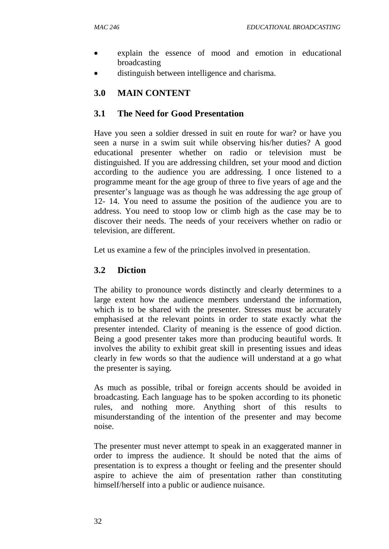- explain the essence of mood and emotion in educational broadcasting
- distinguish between intelligence and charisma.

## **3.0 MAIN CONTENT**

## **3.1 The Need for Good Presentation**

Have you seen a soldier dressed in suit en route for war? or have you seen a nurse in a swim suit while observing his/her duties? A good educational presenter whether on radio or television must be distinguished. If you are addressing children, set your mood and diction according to the audience you are addressing. I once listened to a programme meant for the age group of three to five years of age and the presenter's language was as though he was addressing the age group of 12- 14. You need to assume the position of the audience you are to address. You need to stoop low or climb high as the case may be to discover their needs. The needs of your receivers whether on radio or television, are different.

Let us examine a few of the principles involved in presentation.

## **3.2 Diction**

The ability to pronounce words distinctly and clearly determines to a large extent how the audience members understand the information, which is to be shared with the presenter. Stresses must be accurately emphasised at the relevant points in order to state exactly what the presenter intended. Clarity of meaning is the essence of good diction. Being a good presenter takes more than producing beautiful words. It involves the ability to exhibit great skill in presenting issues and ideas clearly in few words so that the audience will understand at a go what the presenter is saying.

As much as possible, tribal or foreign accents should be avoided in broadcasting. Each language has to be spoken according to its phonetic rules, and nothing more. Anything short of this results to misunderstanding of the intention of the presenter and may become noise.

The presenter must never attempt to speak in an exaggerated manner in order to impress the audience. It should be noted that the aims of presentation is to express a thought or feeling and the presenter should aspire to achieve the aim of presentation rather than constituting himself/herself into a public or audience nuisance.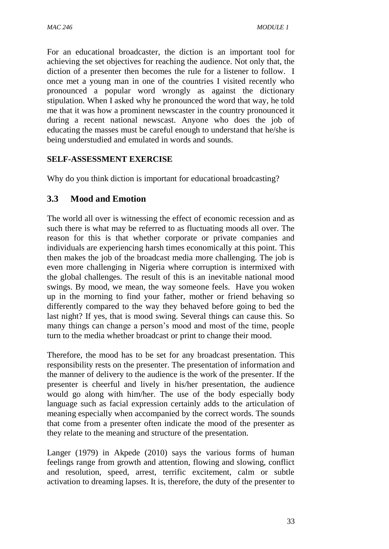For an educational broadcaster, the diction is an important tool for achieving the set objectives for reaching the audience. Not only that, the diction of a presenter then becomes the rule for a listener to follow. I once met a young man in one of the countries I visited recently who pronounced a popular word wrongly as against the dictionary stipulation. When I asked why he pronounced the word that way, he told me that it was how a prominent newscaster in the country pronounced it during a recent national newscast. Anyone who does the job of educating the masses must be careful enough to understand that he/she is being understudied and emulated in words and sounds.

### **SELF-ASSESSMENT EXERCISE**

Why do you think diction is important for educational broadcasting?

## **3.3 Mood and Emotion**

The world all over is witnessing the effect of economic recession and as such there is what may be referred to as fluctuating moods all over. The reason for this is that whether corporate or private companies and individuals are experiencing harsh times economically at this point. This then makes the job of the broadcast media more challenging. The job is even more challenging in Nigeria where corruption is intermixed with the global challenges. The result of this is an inevitable national mood swings. By mood, we mean, the way someone feels. Have you woken up in the morning to find your father, mother or friend behaving so differently compared to the way they behaved before going to bed the last night? If yes, that is mood swing. Several things can cause this. So many things can change a person's mood and most of the time, people turn to the media whether broadcast or print to change their mood.

Therefore, the mood has to be set for any broadcast presentation. This responsibility rests on the presenter. The presentation of information and the manner of delivery to the audience is the work of the presenter. If the presenter is cheerful and lively in his/her presentation, the audience would go along with him/her. The use of the body especially body language such as facial expression certainly adds to the articulation of meaning especially when accompanied by the correct words. The sounds that come from a presenter often indicate the mood of the presenter as they relate to the meaning and structure of the presentation.

Langer (1979) in Akpede (2010) says the various forms of human feelings range from growth and attention, flowing and slowing, conflict and resolution, speed, arrest, terrific excitement, calm or subtle activation to dreaming lapses. It is, therefore, the duty of the presenter to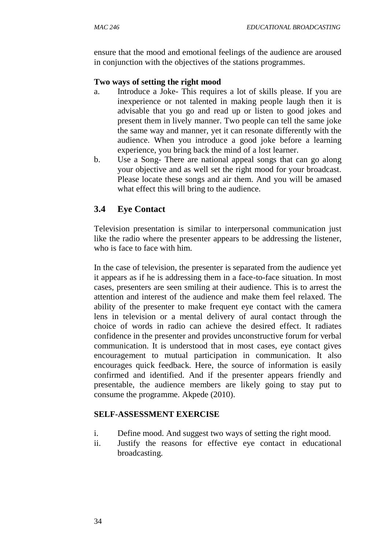ensure that the mood and emotional feelings of the audience are aroused in conjunction with the objectives of the stations programmes.

#### **Two ways of setting the right mood**

- a. Introduce a Joke- This requires a lot of skills please. If you are inexperience or not talented in making people laugh then it is advisable that you go and read up or listen to good jokes and present them in lively manner. Two people can tell the same joke the same way and manner, yet it can resonate differently with the audience. When you introduce a good joke before a learning experience, you bring back the mind of a lost learner.
- b. Use a Song- There are national appeal songs that can go along your objective and as well set the right mood for your broadcast. Please locate these songs and air them. And you will be amased what effect this will bring to the audience.

## **3.4 Eye Contact**

Television presentation is similar to interpersonal communication just like the radio where the presenter appears to be addressing the listener, who is face to face with him.

In the case of television, the presenter is separated from the audience yet it appears as if he is addressing them in a face-to-face situation. In most cases, presenters are seen smiling at their audience. This is to arrest the attention and interest of the audience and make them feel relaxed. The ability of the presenter to make frequent eye contact with the camera lens in television or a mental delivery of aural contact through the choice of words in radio can achieve the desired effect. It radiates confidence in the presenter and provides unconstructive forum for verbal communication. It is understood that in most cases, eye contact gives encouragement to mutual participation in communication. It also encourages quick feedback. Here, the source of information is easily confirmed and identified. And if the presenter appears friendly and presentable, the audience members are likely going to stay put to consume the programme. Akpede (2010).

#### **SELF-ASSESSMENT EXERCISE**

- i. Define mood. And suggest two ways of setting the right mood.
- ii. Justify the reasons for effective eye contact in educational broadcasting.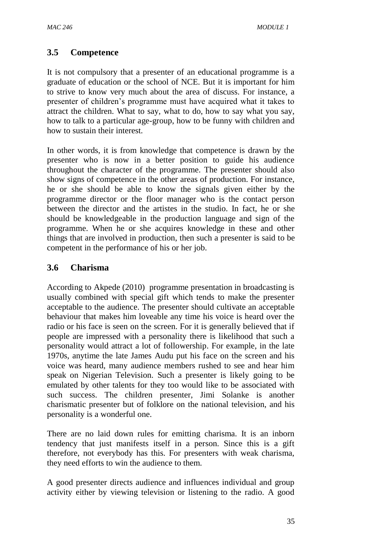### **3.5 Competence**

It is not compulsory that a presenter of an educational programme is a graduate of education or the school of NCE. But it is important for him to strive to know very much about the area of discuss. For instance, a presenter of children's programme must have acquired what it takes to attract the children. What to say, what to do, how to say what you say, how to talk to a particular age-group, how to be funny with children and how to sustain their interest.

In other words, it is from knowledge that competence is drawn by the presenter who is now in a better position to guide his audience throughout the character of the programme. The presenter should also show signs of competence in the other areas of production. For instance, he or she should be able to know the signals given either by the programme director or the floor manager who is the contact person between the director and the artistes in the studio. In fact, he or she should be knowledgeable in the production language and sign of the programme. When he or she acquires knowledge in these and other things that are involved in production, then such a presenter is said to be competent in the performance of his or her job.

### **3.6 Charisma**

According to Akpede (2010) programme presentation in broadcasting is usually combined with special gift which tends to make the presenter acceptable to the audience. The presenter should cultivate an acceptable behaviour that makes him loveable any time his voice is heard over the radio or his face is seen on the screen. For it is generally believed that if people are impressed with a personality there is likelihood that such a personality would attract a lot of followership. For example, in the late 1970s, anytime the late James Audu put his face on the screen and his voice was heard, many audience members rushed to see and hear him speak on Nigerian Television. Such a presenter is likely going to be emulated by other talents for they too would like to be associated with such success. The children presenter, Jimi Solanke is another charismatic presenter but of folklore on the national television, and his personality is a wonderful one.

There are no laid down rules for emitting charisma. It is an inborn tendency that just manifests itself in a person. Since this is a gift therefore, not everybody has this. For presenters with weak charisma, they need efforts to win the audience to them.

A good presenter directs audience and influences individual and group activity either by viewing television or listening to the radio. A good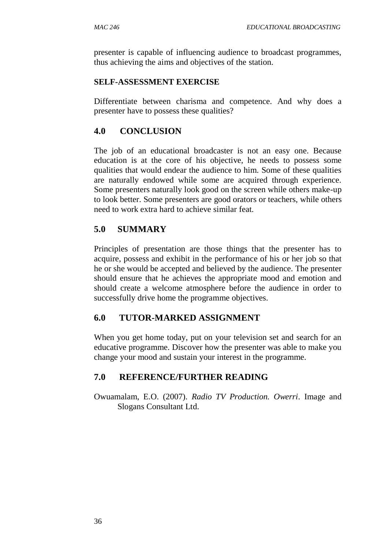presenter is capable of influencing audience to broadcast programmes, thus achieving the aims and objectives of the station.

#### **SELF-ASSESSMENT EXERCISE**

Differentiate between charisma and competence. And why does a presenter have to possess these qualities?

#### **4.0 CONCLUSION**

The job of an educational broadcaster is not an easy one. Because education is at the core of his objective, he needs to possess some qualities that would endear the audience to him. Some of these qualities are naturally endowed while some are acquired through experience. Some presenters naturally look good on the screen while others make-up to look better. Some presenters are good orators or teachers, while others need to work extra hard to achieve similar feat.

## **5.0 SUMMARY**

Principles of presentation are those things that the presenter has to acquire, possess and exhibit in the performance of his or her job so that he or she would be accepted and believed by the audience. The presenter should ensure that he achieves the appropriate mood and emotion and should create a welcome atmosphere before the audience in order to successfully drive home the programme objectives.

#### **6.0 TUTOR-MARKED ASSIGNMENT**

When you get home today, put on your television set and search for an educative programme. Discover how the presenter was able to make you change your mood and sustain your interest in the programme.

#### **7.0 REFERENCE/FURTHER READING**

Owuamalam, E.O. (2007). *Radio TV Production. Owerri*. Image and Slogans Consultant Ltd.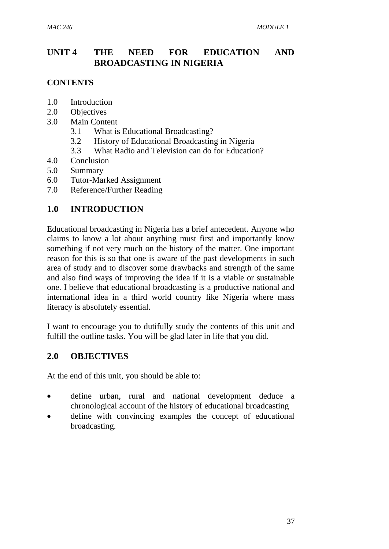## **UNIT 4 THE NEED FOR EDUCATION AND BROADCASTING IN NIGERIA**

### **CONTENTS**

- 1.0 Introduction
- 2.0 Objectives
- 3.0 Main Content
	- 3.1 What is Educational Broadcasting?
	- 3.2 History of Educational Broadcasting in Nigeria
	- 3.3 What Radio and Television can do for Education?
- 4.0 Conclusion
- 5.0 Summary
- 6.0 Tutor-Marked Assignment
- 7.0 Reference/Further Reading

## **1.0 INTRODUCTION**

Educational broadcasting in Nigeria has a brief antecedent. Anyone who claims to know a lot about anything must first and importantly know something if not very much on the history of the matter. One important reason for this is so that one is aware of the past developments in such area of study and to discover some drawbacks and strength of the same and also find ways of improving the idea if it is a viable or sustainable one. I believe that educational broadcasting is a productive national and international idea in a third world country like Nigeria where mass literacy is absolutely essential.

I want to encourage you to dutifully study the contents of this unit and fulfill the outline tasks. You will be glad later in life that you did.

## **2.0 OBJECTIVES**

At the end of this unit, you should be able to:

- define urban, rural and national development deduce a chronological account of the history of educational broadcasting
- define with convincing examples the concept of educational broadcasting.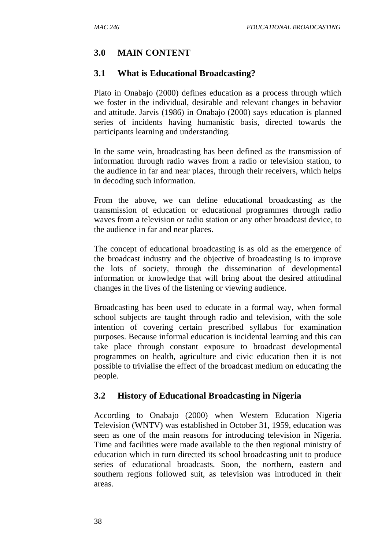# **3.0 MAIN CONTENT**

### **3.1 What is Educational Broadcasting?**

Plato in Onabajo (2000) defines education as a process through which we foster in the individual, desirable and relevant changes in behavior and attitude. Jarvis (1986) in Onabajo (2000) says education is planned series of incidents having humanistic basis, directed towards the participants learning and understanding.

In the same vein, broadcasting has been defined as the transmission of information through radio waves from a radio or television station, to the audience in far and near places, through their receivers, which helps in decoding such information.

From the above, we can define educational broadcasting as the transmission of education or educational programmes through radio waves from a television or radio station or any other broadcast device, to the audience in far and near places.

The concept of educational broadcasting is as old as the emergence of the broadcast industry and the objective of broadcasting is to improve the lots of society, through the dissemination of developmental information or knowledge that will bring about the desired attitudinal changes in the lives of the listening or viewing audience.

Broadcasting has been used to educate in a formal way, when formal school subjects are taught through radio and television, with the sole intention of covering certain prescribed syllabus for examination purposes. Because informal education is incidental learning and this can take place through constant exposure to broadcast developmental programmes on health, agriculture and civic education then it is not possible to trivialise the effect of the broadcast medium on educating the people.

### **3.2 History of Educational Broadcasting in Nigeria**

According to Onabajo (2000) when Western Education Nigeria Television (WNTV) was established in October 31, 1959, education was seen as one of the main reasons for introducing television in Nigeria. Time and facilities were made available to the then regional ministry of education which in turn directed its school broadcasting unit to produce series of educational broadcasts. Soon, the northern, eastern and southern regions followed suit, as television was introduced in their areas.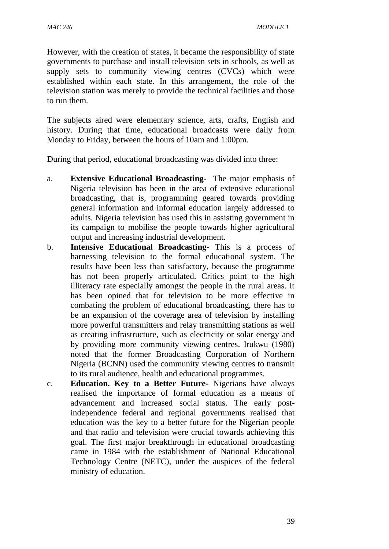However, with the creation of states, it became the responsibility of state governments to purchase and install television sets in schools, as well as supply sets to community viewing centres (CVCs) which were established within each state. In this arrangement, the role of the television station was merely to provide the technical facilities and those to run them.

The subjects aired were elementary science, arts, crafts, English and history. During that time, educational broadcasts were daily from Monday to Friday, between the hours of 10am and 1:00pm.

During that period, educational broadcasting was divided into three:

- a. **Extensive Educational Broadcasting-** The major emphasis of Nigeria television has been in the area of extensive educational broadcasting, that is, programming geared towards providing general information and informal education largely addressed to adults. Nigeria television has used this in assisting government in its campaign to mobilise the people towards higher agricultural output and increasing industrial development.
- b. **Intensive Educational Broadcasting-** This is a process of harnessing television to the formal educational system. The results have been less than satisfactory, because the programme has not been properly articulated. Critics point to the high illiteracy rate especially amongst the people in the rural areas. It has been opined that for television to be more effective in combating the problem of educational broadcasting, there has to be an expansion of the coverage area of television by installing more powerful transmitters and relay transmitting stations as well as creating infrastructure, such as electricity or solar energy and by providing more community viewing centres. Irukwu (1980) noted that the former Broadcasting Corporation of Northern Nigeria (BCNN) used the community viewing centres to transmit to its rural audience, health and educational programmes.
- c. **Education. Key to a Better Future-** Nigerians have always realised the importance of formal education as a means of advancement and increased social status. The early postindependence federal and regional governments realised that education was the key to a better future for the Nigerian people and that radio and television were crucial towards achieving this goal. The first major breakthrough in educational broadcasting came in 1984 with the establishment of National Educational Technology Centre (NETC), under the auspices of the federal ministry of education.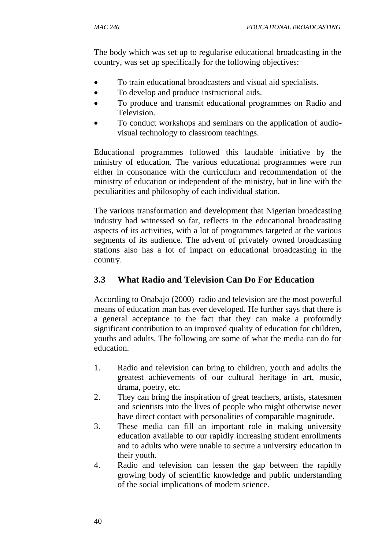The body which was set up to regularise educational broadcasting in the country, was set up specifically for the following objectives:

- To train educational broadcasters and visual aid specialists.
- To develop and produce instructional aids.
- To produce and transmit educational programmes on Radio and Television.
- To conduct workshops and seminars on the application of audiovisual technology to classroom teachings.

Educational programmes followed this laudable initiative by the ministry of education. The various educational programmes were run either in consonance with the curriculum and recommendation of the ministry of education or independent of the ministry, but in line with the peculiarities and philosophy of each individual station.

The various transformation and development that Nigerian broadcasting industry had witnessed so far, reflects in the educational broadcasting aspects of its activities, with a lot of programmes targeted at the various segments of its audience. The advent of privately owned broadcasting stations also has a lot of impact on educational broadcasting in the country.

# **3.3 What Radio and Television Can Do For Education**

According to Onabajo (2000) radio and television are the most powerful means of education man has ever developed. He further says that there is a general acceptance to the fact that they can make a profoundly significant contribution to an improved quality of education for children, youths and adults. The following are some of what the media can do for education.

- 1. Radio and television can bring to children, youth and adults the greatest achievements of our cultural heritage in art, music, drama, poetry, etc.
- 2. They can bring the inspiration of great teachers, artists, statesmen and scientists into the lives of people who might otherwise never have direct contact with personalities of comparable magnitude.
- 3. These media can fill an important role in making university education available to our rapidly increasing student enrollments and to adults who were unable to secure a university education in their youth.
- 4. Radio and television can lessen the gap between the rapidly growing body of scientific knowledge and public understanding of the social implications of modern science.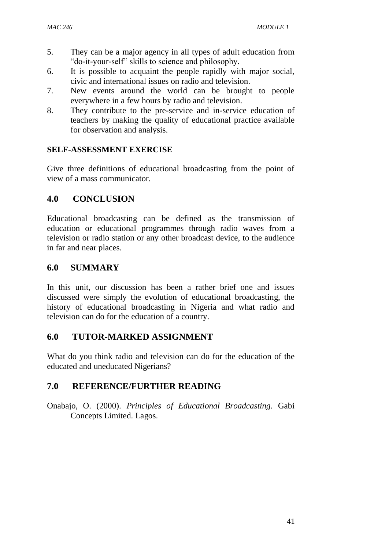- 5. They can be a major agency in all types of adult education from "do-it-your-self" skills to science and philosophy.
- 6. It is possible to acquaint the people rapidly with major social, civic and international issues on radio and television.
- 7. New events around the world can be brought to people everywhere in a few hours by radio and television.
- 8. They contribute to the pre-service and in-service education of teachers by making the quality of educational practice available for observation and analysis.

## **SELF-ASSESSMENT EXERCISE**

Give three definitions of educational broadcasting from the point of view of a mass communicator.

# **4.0 CONCLUSION**

Educational broadcasting can be defined as the transmission of education or educational programmes through radio waves from a television or radio station or any other broadcast device, to the audience in far and near places.

## **6.0 SUMMARY**

In this unit, our discussion has been a rather brief one and issues discussed were simply the evolution of educational broadcasting, the history of educational broadcasting in Nigeria and what radio and television can do for the education of a country.

# **6.0 TUTOR-MARKED ASSIGNMENT**

What do you think radio and television can do for the education of the educated and uneducated Nigerians?

# **7.0 REFERENCE/FURTHER READING**

Onabajo, O. (2000). *Principles of Educational Broadcasting*. Gabi Concepts Limited. Lagos.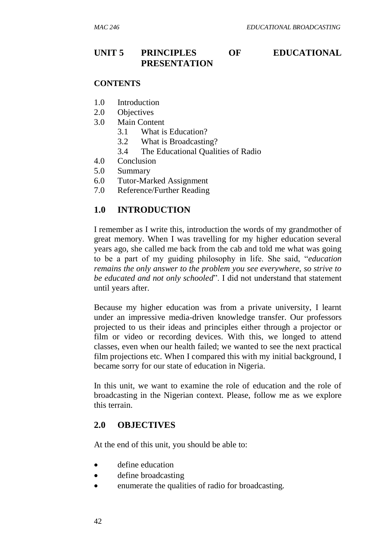### **UNIT 5 PRINCIPLES OF EDUCATIONAL PRESENTATION**

#### **CONTENTS**

- 1.0 Introduction
- 2.0 Objectives
- 3.0 Main Content
	- 3.1 What is Education?
	- 3.2 What is Broadcasting?
	- 3.4 The Educational Qualities of Radio
- 4.0 Conclusion
- 5.0 Summary
- 6.0 Tutor-Marked Assignment
- 7.0 Reference/Further Reading

#### **1.0 INTRODUCTION**

I remember as I write this, introduction the words of my grandmother of great memory. When I was travelling for my higher education several years ago, she called me back from the cab and told me what was going to be a part of my guiding philosophy in life. She said, "*education remains the only answer to the problem you see everywhere, so strive to be educated and not only schooled*". I did not understand that statement until years after.

Because my higher education was from a private university, I learnt under an impressive media-driven knowledge transfer. Our professors projected to us their ideas and principles either through a projector or film or video or recording devices. With this, we longed to attend classes, even when our health failed; we wanted to see the next practical film projections etc. When I compared this with my initial background, I became sorry for our state of education in Nigeria.

In this unit, we want to examine the role of education and the role of broadcasting in the Nigerian context. Please, follow me as we explore this terrain.

#### **2.0 OBJECTIVES**

At the end of this unit, you should be able to:

- define education
- define broadcasting
- enumerate the qualities of radio for broadcasting.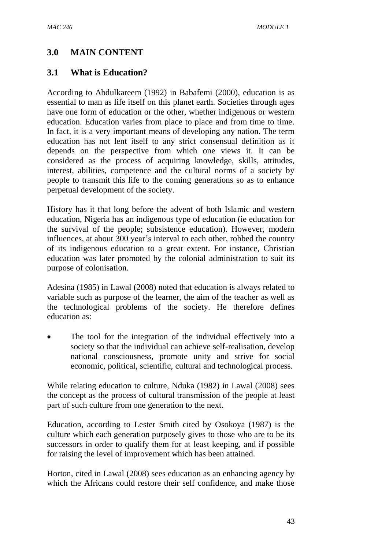## **3.0 MAIN CONTENT**

### **3.1 What is Education?**

According to Abdulkareem (1992) in Babafemi (2000), education is as essential to man as life itself on this planet earth. Societies through ages have one form of education or the other, whether indigenous or western education. Education varies from place to place and from time to time. In fact, it is a very important means of developing any nation. The term education has not lent itself to any strict consensual definition as it depends on the perspective from which one views it. It can be considered as the process of acquiring knowledge, skills, attitudes, interest, abilities, competence and the cultural norms of a society by people to transmit this life to the coming generations so as to enhance perpetual development of the society.

History has it that long before the advent of both Islamic and western education, Nigeria has an indigenous type of education (ie education for the survival of the people; subsistence education). However, modern influences, at about 300 year's interval to each other, robbed the country of its indigenous education to a great extent. For instance, Christian education was later promoted by the colonial administration to suit its purpose of colonisation.

Adesina (1985) in Lawal (2008) noted that education is always related to variable such as purpose of the learner, the aim of the teacher as well as the technological problems of the society. He therefore defines education as:

 The tool for the integration of the individual effectively into a society so that the individual can achieve self-realisation, develop national consciousness, promote unity and strive for social economic, political, scientific, cultural and technological process.

While relating education to culture, Nduka (1982) in Lawal (2008) sees the concept as the process of cultural transmission of the people at least part of such culture from one generation to the next.

Education, according to Lester Smith cited by Osokoya (1987) is the culture which each generation purposely gives to those who are to be its successors in order to qualify them for at least keeping, and if possible for raising the level of improvement which has been attained.

Horton, cited in Lawal (2008) sees education as an enhancing agency by which the Africans could restore their self confidence, and make those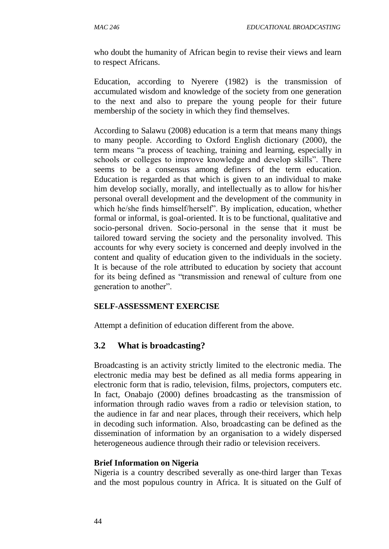who doubt the humanity of African begin to revise their views and learn to respect Africans.

Education, according to Nyerere (1982) is the transmission of accumulated wisdom and knowledge of the society from one generation to the next and also to prepare the young people for their future membership of the society in which they find themselves.

According to Salawu (2008) education is a term that means many things to many people. According to Oxford English dictionary (2000), the term means "a process of teaching, training and learning, especially in schools or colleges to improve knowledge and develop skills". There seems to be a consensus among definers of the term education. Education is regarded as that which is given to an individual to make him develop socially, morally, and intellectually as to allow for his/her personal overall development and the development of the community in which he/she finds himself/herself". By implication, education, whether formal or informal, is goal-oriented. It is to be functional, qualitative and socio-personal driven. Socio-personal in the sense that it must be tailored toward serving the society and the personality involved. This accounts for why every society is concerned and deeply involved in the content and quality of education given to the individuals in the society. It is because of the role attributed to education by society that account for its being defined as "transmission and renewal of culture from one generation to another".

### **SELF-ASSESSMENT EXERCISE**

Attempt a definition of education different from the above.

# **3.2 What is broadcasting?**

Broadcasting is an activity strictly limited to the electronic media. The electronic media may best be defined as all media forms appearing in electronic form that is radio, television, films, projectors, computers etc. In fact, Onabajo (2000) defines broadcasting as the transmission of information through radio waves from a radio or television station, to the audience in far and near places, through their receivers, which help in decoding such information. Also, broadcasting can be defined as the dissemination of information by an organisation to a widely dispersed heterogeneous audience through their radio or television receivers.

### **Brief Information on Nigeria**

Nigeria is a country described severally as one-third larger than Texas and the most populous country in Africa. It is situated on the Gulf of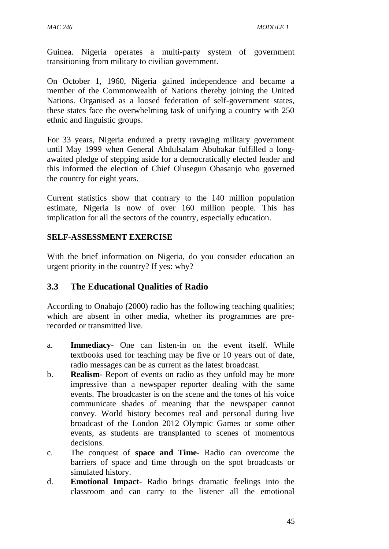Guinea. Nigeria operates a multi-party system of government transitioning from military to civilian government.

On October 1, 1960, Nigeria gained independence and became a member of the Commonwealth of Nations thereby joining the United Nations. Organised as a loosed federation of self-government states, these states face the overwhelming task of unifying a country with 250 ethnic and linguistic groups.

For 33 years, Nigeria endured a pretty ravaging military government until May 1999 when General Abdulsalam Abubakar fulfilled a longawaited pledge of stepping aside for a democratically elected leader and this informed the election of Chief Olusegun Obasanjo who governed the country for eight years.

Current statistics show that contrary to the 140 million population estimate, Nigeria is now of over 160 million people. This has implication for all the sectors of the country, especially education.

#### **SELF-ASSESSMENT EXERCISE**

With the brief information on Nigeria, do you consider education an urgent priority in the country? If yes: why?

### **3.3 The Educational Qualities of Radio**

According to Onabajo (2000) radio has the following teaching qualities; which are absent in other media, whether its programmes are prerecorded or transmitted live.

- a. **Immediacy** One can listen-in on the event itself. While textbooks used for teaching may be five or 10 years out of date, radio messages can be as current as the latest broadcast.
- b. **Realism** Report of events on radio as they unfold may be more impressive than a newspaper reporter dealing with the same events. The broadcaster is on the scene and the tones of his voice communicate shades of meaning that the newspaper cannot convey. World history becomes real and personal during live broadcast of the London 2012 Olympic Games or some other events, as students are transplanted to scenes of momentous decisions.
- c. The conquest of **space and Time** Radio can overcome the barriers of space and time through on the spot broadcasts or simulated history.
- d. **Emotional Impact** Radio brings dramatic feelings into the classroom and can carry to the listener all the emotional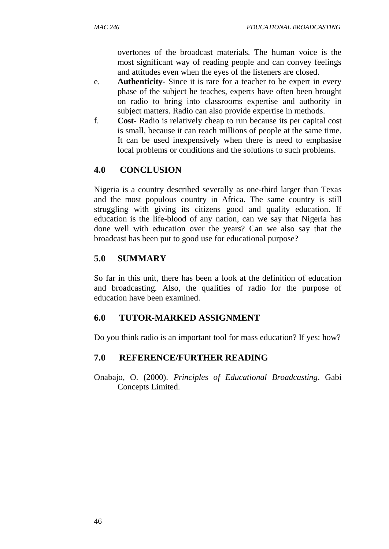overtones of the broadcast materials. The human voice is the most significant way of reading people and can convey feelings and attitudes even when the eyes of the listeners are closed.

- e. **Authenticity** Since it is rare for a teacher to be expert in every phase of the subject he teaches, experts have often been brought on radio to bring into classrooms expertise and authority in subject matters. Radio can also provide expertise in methods.
- f. **Cost-** Radio is relatively cheap to run because its per capital cost is small, because it can reach millions of people at the same time. It can be used inexpensively when there is need to emphasise local problems or conditions and the solutions to such problems.

## **4.0 CONCLUSION**

Nigeria is a country described severally as one-third larger than Texas and the most populous country in Africa. The same country is still struggling with giving its citizens good and quality education. If education is the life-blood of any nation, can we say that Nigeria has done well with education over the years? Can we also say that the broadcast has been put to good use for educational purpose?

## **5.0 SUMMARY**

So far in this unit, there has been a look at the definition of education and broadcasting. Also, the qualities of radio for the purpose of education have been examined.

### **6.0 TUTOR-MARKED ASSIGNMENT**

Do you think radio is an important tool for mass education? If yes: how?

### **7.0 REFERENCE/FURTHER READING**

Onabajo, O. (2000). *Principles of Educational Broadcasting*. Gabi Concepts Limited.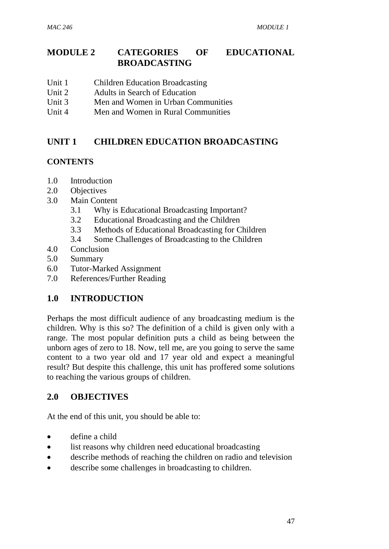## **MODULE 2 CATEGORIES OF EDUCATIONAL BROADCASTING**

- Unit 1 Children Education Broadcasting
- Unit 2 Adults in Search of Education
- Unit 3 Men and Women in Urban Communities
- Unit 4 Men and Women in Rural Communities

## **UNIT 1 CHILDREN EDUCATION BROADCASTING**

### **CONTENTS**

- 1.0 Introduction
- 2.0 Objectives
- 3.0 Main Content
	- 3.1 Why is Educational Broadcasting Important?
	- 3.2 Educational Broadcasting and the Children
	- 3.3 Methods of Educational Broadcasting for Children
	- 3.4 Some Challenges of Broadcasting to the Children
- 4.0 Conclusion
- 5.0 Summary
- 6.0 Tutor-Marked Assignment
- 7.0 References/Further Reading

# **1.0 INTRODUCTION**

Perhaps the most difficult audience of any broadcasting medium is the children. Why is this so? The definition of a child is given only with a range. The most popular definition puts a child as being between the unborn ages of zero to 18. Now, tell me, are you going to serve the same content to a two year old and 17 year old and expect a meaningful result? But despite this challenge, this unit has proffered some solutions to reaching the various groups of children.

## **2.0 OBJECTIVES**

At the end of this unit, you should be able to:

- define a child
- list reasons why children need educational broadcasting
- describe methods of reaching the children on radio and television
- describe some challenges in broadcasting to children.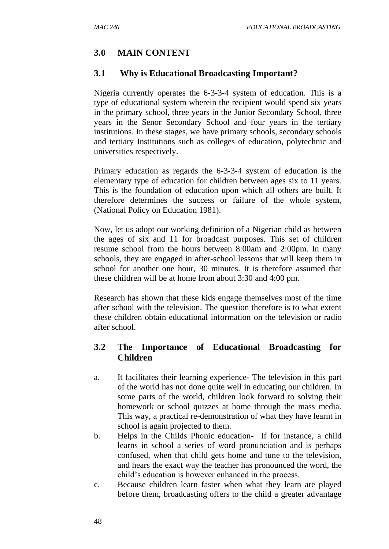# **3.0 MAIN CONTENT**

## **3.1 Why is Educational Broadcasting Important?**

Nigeria currently operates the 6-3-3-4 system of education. This is a type of educational system wherein the recipient would spend six years in the primary school, three years in the Junior Secondary School, three years in the Senor Secondary School and four years in the tertiary institutions. In these stages, we have primary schools, secondary schools and tertiary Institutions such as colleges of education, polytechnic and universities respectively.

Primary education as regards the 6-3-3-4 system of education is the elementary type of education for children between ages six to 11 years. This is the foundation of education upon which all others are built. It therefore determines the success or failure of the whole system, (National Policy on Education 1981).

Now, let us adopt our working definition of a Nigerian child as between the ages of six and 11 for broadcast purposes. This set of children resume school from the hours between 8:00am and 2:00pm. In many schools, they are engaged in after-school lessons that will keep them in school for another one hour, 30 minutes. It is therefore assumed that these children will be at home from about 3:30 and 4:00 pm.

Research has shown that these kids engage themselves most of the time after school with the television. The question therefore is to what extent these children obtain educational information on the television or radio after school.

# **3.2 The Importance of Educational Broadcasting for Children**

- a. It facilitates their learning experience- The television in this part of the world has not done quite well in educating our children. In some parts of the world, children look forward to solving their homework or school quizzes at home through the mass media. This way, a practical re-demonstration of what they have learnt in school is again projected to them.
- b. Helps in the Childs Phonic education- If for instance, a child learns in school a series of word pronunciation and is perhaps confused, when that child gets home and tune to the television, and hears the exact way the teacher has pronounced the word, the child's education is however enhanced in the process.
- c. Because children learn faster when what they learn are played before them, broadcasting offers to the child a greater advantage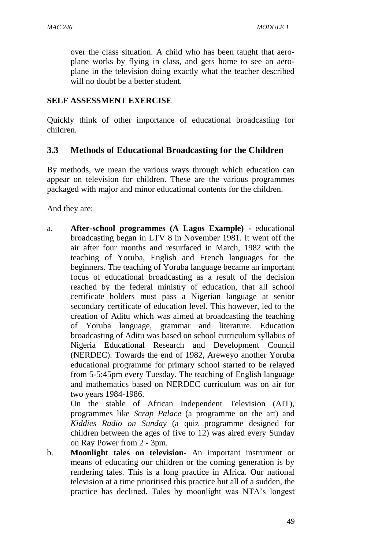over the class situation. A child who has been taught that aeroplane works by flying in class, and gets home to see an aeroplane in the television doing exactly what the teacher described will no doubt be a better student.

### **SELF ASSESSMENT EXERCISE**

Quickly think of other importance of educational broadcasting for children.

## **3.3 Methods of Educational Broadcasting for the Children**

By methods, we mean the various ways through which education can appear on television for children. These are the various programmes packaged with major and minor educational contents for the children.

And they are:

a. **After-school programmes (A Lagos Example) -** educational broadcasting began in LTV 8 in November 1981. It went off the air after four months and resurfaced in March, 1982 with the teaching of Yoruba, English and French languages for the beginners. The teaching of Yoruba language became an important focus of educational broadcasting as a result of the decision reached by the federal ministry of education, that all school certificate holders must pass a Nigerian language at senior secondary certificate of education level. This however, led to the creation of Aditu which was aimed at broadcasting the teaching of Yoruba language, grammar and literature. Education broadcasting of Aditu was based on school curriculum syllabus of Nigeria Educational Research and Development Council (NERDEC). Towards the end of 1982, Areweyo another Yoruba educational programme for primary school started to be relayed from 5-5:45pm every Tuesday. The teaching of English language and mathematics based on NERDEC curriculum was on air for two years 1984-1986.

On the stable of African Independent Television (AIT), programmes like *Scrap Palace* (a programme on the art) and *Kiddies Radio on Sunday* (a quiz programme designed for children between the ages of five to 12) was aired every Sunday on Ray Power from 2 - 3pm.

b. **Moonlight tales on television-** An important instrument or means of educating our children or the coming generation is by rendering tales. This is a long practice in Africa. Our national television at a time prioritised this practice but all of a sudden, the practice has declined. Tales by moonlight was NTA's longest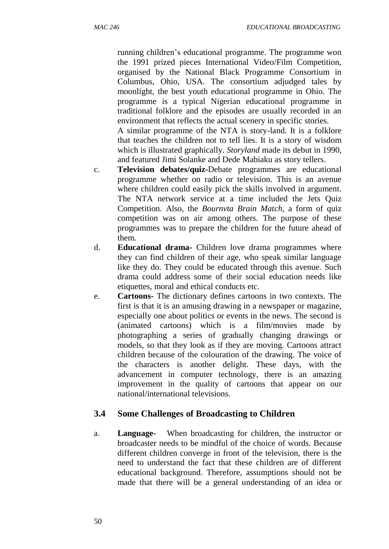running children's educational programme. The programme won the 1991 prized pieces International Video/Film Competition, organised by the National Black Programme Consortium in Columbus, Ohio, USA. The consortium adjudged tales by moonlight, the best youth educational programme in Ohio. The programme is a typical Nigerian educational programme in traditional folklore and the episodes are usually recorded in an environment that reflects the actual scenery in specific stories.

A similar programme of the NTA is story-land. It is a folklore that teaches the children not to tell lies. It is a story of wisdom which is illustrated graphically. *Storyland* made its debut in 1990, and featured Jimi Solanke and Dede Mabiaku as story tellers.

- c. **Television debates/quiz-**Debate programmes are educational programme whether on radio or television. This is an avenue where children could easily pick the skills involved in argument. The NTA network service at a time included the Jets Quiz Competition. Also, the *Bournvta Brain Match*, a form of quiz competition was on air among others. The purpose of these programmes was to prepare the children for the future ahead of them.
- d. **Educational drama-** Children love drama programmes where they can find children of their age, who speak similar language like they do. They could be educated through this avenue. Such drama could address some of their social education needs like etiquettes, moral and ethical conducts etc.
- e. **Cartoons-** The dictionary defines cartoons in two contexts. The first is that it is an amusing drawing in a newspaper or magazine, especially one about politics or events in the news. The second is (animated cartoons) which is a film/movies made by photographing a series of gradually changing drawings or models, so that they look as if they are moving. Cartoons attract children because of the colouration of the drawing. The voice of the characters is another delight. These days, with the advancement in computer technology, there is an amazing improvement in the quality of cartoons that appear on our national/international televisions.

# **3.4 Some Challenges of Broadcasting to Children**

a. **Language-** When broadcasting for children, the instructor or broadcaster needs to be mindful of the choice of words. Because different children converge in front of the television, there is the need to understand the fact that these children are of different educational background. Therefore, assumptions should not be made that there will be a general understanding of an idea or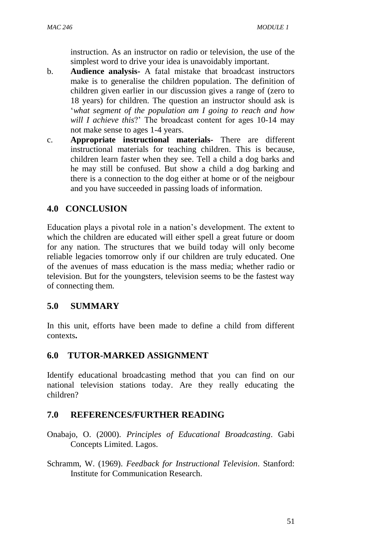instruction. As an instructor on radio or television, the use of the simplest word to drive your idea is unavoidably important.

- b. **Audience analysis-** A fatal mistake that broadcast instructors make is to generalise the children population. The definition of children given earlier in our discussion gives a range of (zero to 18 years) for children. The question an instructor should ask is '*what segment of the population am I going to reach and how will I achieve this*?' The broadcast content for ages 10-14 may not make sense to ages 1-4 years.
- c. **Appropriate instructional materials-** There are different instructional materials for teaching children. This is because, children learn faster when they see. Tell a child a dog barks and he may still be confused. But show a child a dog barking and there is a connection to the dog either at home or of the neigbour and you have succeeded in passing loads of information.

## **4.0 CONCLUSION**

Education plays a pivotal role in a nation's development. The extent to which the children are educated will either spell a great future or doom for any nation. The structures that we build today will only become reliable legacies tomorrow only if our children are truly educated. One of the avenues of mass education is the mass media; whether radio or television. But for the youngsters, television seems to be the fastest way of connecting them.

## **5.0 SUMMARY**

In this unit, efforts have been made to define a child from different contexts**.**

## **6.0 TUTOR-MARKED ASSIGNMENT**

Identify educational broadcasting method that you can find on our national television stations today. Are they really educating the children?

## **7.0 REFERENCES/FURTHER READING**

Onabajo, O. (2000). *Principles of Educational Broadcasting*. Gabi Concepts Limited. Lagos.

Schramm, W. (1969). *Feedback for Instructional Television*. Stanford: Institute for Communication Research.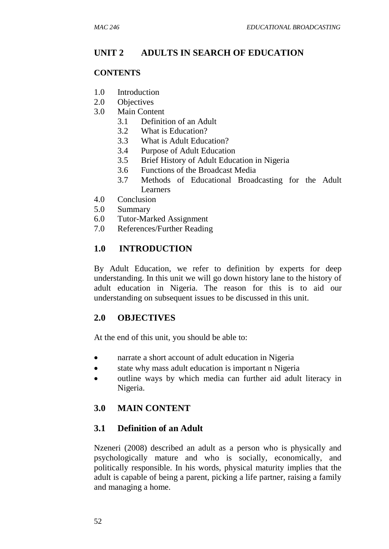## **UNIT 2 ADULTS IN SEARCH OF EDUCATION**

#### **CONTENTS**

- 1.0 Introduction
- 2.0 Objectives
- 3.0 Main Content
	- 3.1 Definition of an Adult
	- 3.2 What is Education?
	- 3.3 What is Adult Education?
	- 3.4 Purpose of Adult Education
	- 3.5 Brief History of Adult Education in Nigeria
	- 3.6 Functions of the Broadcast Media
	- 3.7 Methods of Educational Broadcasting for the Adult Learners
- 4.0 Conclusion
- 5.0 Summary
- 6.0 Tutor-Marked Assignment
- 7.0 References/Further Reading

### **1.0 INTRODUCTION**

By Adult Education, we refer to definition by experts for deep understanding. In this unit we will go down history lane to the history of adult education in Nigeria. The reason for this is to aid our understanding on subsequent issues to be discussed in this unit.

### **2.0 OBJECTIVES**

At the end of this unit, you should be able to:

- narrate a short account of adult education in Nigeria
- state why mass adult education is important n Nigeria
- outline ways by which media can further aid adult literacy in Nigeria.

### **3.0 MAIN CONTENT**

### **3.1 Definition of an Adult**

Nzeneri (2008) described an adult as a person who is physically and psychologically mature and who is socially, economically, and politically responsible. In his words, physical maturity implies that the adult is capable of being a parent, picking a life partner, raising a family and managing a home.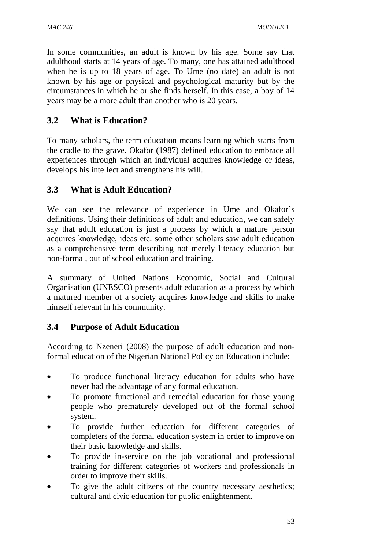In some communities, an adult is known by his age. Some say that adulthood starts at 14 years of age. To many, one has attained adulthood when he is up to 18 years of age. To Ume (no date) an adult is not known by his age or physical and psychological maturity but by the circumstances in which he or she finds herself. In this case, a boy of 14 years may be a more adult than another who is 20 years.

# **3.2 What is Education?**

To many scholars, the term education means learning which starts from the cradle to the grave. Okafor (1987) defined education to embrace all experiences through which an individual acquires knowledge or ideas, develops his intellect and strengthens his will.

# **3.3 What is Adult Education?**

We can see the relevance of experience in Ume and Okafor's definitions. Using their definitions of adult and education, we can safely say that adult education is just a process by which a mature person acquires knowledge, ideas etc. some other scholars saw adult education as a comprehensive term describing not merely literacy education but non-formal, out of school education and training.

A summary of United Nations Economic, Social and Cultural Organisation (UNESCO) presents adult education as a process by which a matured member of a society acquires knowledge and skills to make himself relevant in his community.

# **3.4 Purpose of Adult Education**

According to Nzeneri (2008) the purpose of adult education and nonformal education of the Nigerian National Policy on Education include:

- To produce functional literacy education for adults who have never had the advantage of any formal education.
- To promote functional and remedial education for those young people who prematurely developed out of the formal school system.
- To provide further education for different categories of completers of the formal education system in order to improve on their basic knowledge and skills.
- To provide in-service on the job vocational and professional training for different categories of workers and professionals in order to improve their skills.
- To give the adult citizens of the country necessary aesthetics; cultural and civic education for public enlightenment.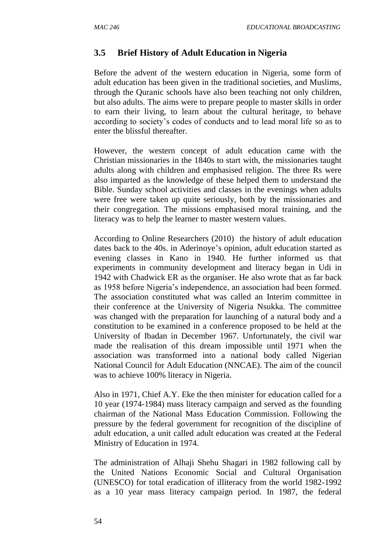### **3.5 Brief History of Adult Education in Nigeria**

Before the advent of the western education in Nigeria, some form of adult education has been given in the traditional societies, and Muslims, through the Quranic schools have also been teaching not only children, but also adults. The aims were to prepare people to master skills in order to earn their living, to learn about the cultural heritage, to behave according to society's codes of conducts and to lead moral life so as to enter the blissful thereafter.

However, the western concept of adult education came with the Christian missionaries in the 1840s to start with, the missionaries taught adults along with children and emphasised religion. The three Rs were also imparted as the knowledge of these helped them to understand the Bible. Sunday school activities and classes in the evenings when adults were free were taken up quite seriously, both by the missionaries and their congregation. The missions emphasised moral training, and the literacy was to help the learner to master western values.

According to Online Researchers (2010) the history of adult education dates back to the 40s. in Aderinoye's opinion, adult education started as evening classes in Kano in 1940. He further informed us that experiments in community development and literacy began in Udi in 1942 with Chadwick ER as the organiser. He also wrote that as far back as 1958 before Nigeria's independence, an association had been formed. The association constituted what was called an Interim committee in their conference at the University of Nigeria Nsukka. The committee was changed with the preparation for launching of a natural body and a constitution to be examined in a conference proposed to be held at the University of Ibadan in December 1967. Unfortunately, the civil war made the realisation of this dream impossible until 1971 when the association was transformed into a national body called Nigerian National Council for Adult Education (NNCAE). The aim of the council was to achieve 100% literacy in Nigeria.

Also in 1971, Chief A.Y. Eke the then minister for education called for a 10 year (1974-1984) mass literacy campaign and served as the founding chairman of the National Mass Education Commission. Following the pressure by the federal government for recognition of the discipline of adult education, a unit called adult education was created at the Federal Ministry of Education in 1974.

The administration of Alhaji Shehu Shagari in 1982 following call by the United Nations Economic Social and Cultural Organisation (UNESCO) for total eradication of illiteracy from the world 1982-1992 as a 10 year mass literacy campaign period. In 1987, the federal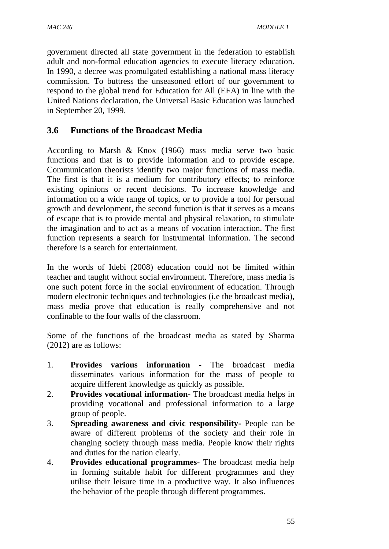government directed all state government in the federation to establish adult and non-formal education agencies to execute literacy education. In 1990, a decree was promulgated establishing a national mass literacy commission. To buttress the unseasoned effort of our government to respond to the global trend for Education for All (EFA) in line with the United Nations declaration, the Universal Basic Education was launched in September 20, 1999.

## **3.6 Functions of the Broadcast Media**

According to Marsh & Knox (1966) mass media serve two basic functions and that is to provide information and to provide escape. Communication theorists identify two major functions of mass media. The first is that it is a medium for contributory effects; to reinforce existing opinions or recent decisions. To increase knowledge and information on a wide range of topics, or to provide a tool for personal growth and development, the second function is that it serves as a means of escape that is to provide mental and physical relaxation, to stimulate the imagination and to act as a means of vocation interaction. The first function represents a search for instrumental information. The second therefore is a search for entertainment.

In the words of Idebi (2008) education could not be limited within teacher and taught without social environment. Therefore, mass media is one such potent force in the social environment of education. Through modern electronic techniques and technologies (i.e the broadcast media), mass media prove that education is really comprehensive and not confinable to the four walls of the classroom.

Some of the functions of the broadcast media as stated by Sharma (2012) are as follows:

- 1. **Provides various information -** The broadcast media disseminates various information for the mass of people to acquire different knowledge as quickly as possible.
- 2. **Provides vocational information-** The broadcast media helps in providing vocational and professional information to a large group of people.
- 3. **Spreading awareness and civic responsibility-** People can be aware of different problems of the society and their role in changing society through mass media. People know their rights and duties for the nation clearly.
- 4. **Provides educational programmes-** The broadcast media help in forming suitable habit for different programmes and they utilise their leisure time in a productive way. It also influences the behavior of the people through different programmes.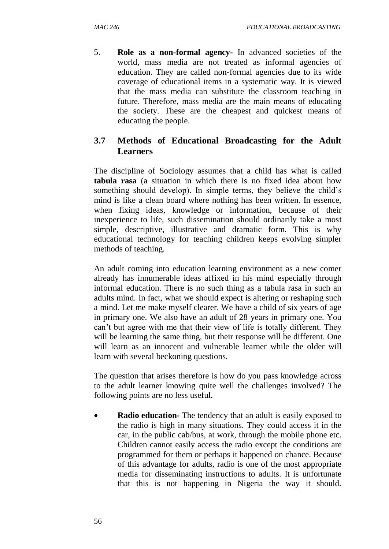5. **Role as a non-formal agency-** In advanced societies of the world, mass media are not treated as informal agencies of education. They are called non-formal agencies due to its wide coverage of educational items in a systematic way. It is viewed that the mass media can substitute the classroom teaching in future. Therefore, mass media are the main means of educating the society. These are the cheapest and quickest means of educating the people.

## **3.7 Methods of Educational Broadcasting for the Adult Learners**

The discipline of Sociology assumes that a child has what is called **tabula rasa** (a situation in which there is no fixed idea about how something should develop). In simple terms, they believe the child's mind is like a clean board where nothing has been written. In essence, when fixing ideas, knowledge or information, because of their inexperience to life, such dissemination should ordinarily take a most simple, descriptive, illustrative and dramatic form. This is why educational technology for teaching children keeps evolving simpler methods of teaching.

An adult coming into education learning environment as a new comer already has innumerable ideas affixed in his mind especially through informal education. There is no such thing as a tabula rasa in such an adults mind. In fact, what we should expect is altering or reshaping such a mind. Let me make myself clearer. We have a child of six years of age in primary one. We also have an adult of 28 years in primary one. You can't but agree with me that their view of life is totally different. They will be learning the same thing, but their response will be different. One will learn as an innocent and vulnerable learner while the older will learn with several beckoning questions.

The question that arises therefore is how do you pass knowledge across to the adult learner knowing quite well the challenges involved? The following points are no less useful.

 **Radio education-** The tendency that an adult is easily exposed to the radio is high in many situations. They could access it in the car, in the public cab/bus, at work, through the mobile phone etc. Children cannot easily access the radio except the conditions are programmed for them or perhaps it happened on chance. Because of this advantage for adults, radio is one of the most appropriate media for disseminating instructions to adults. It is unfortunate that this is not happening in Nigeria the way it should.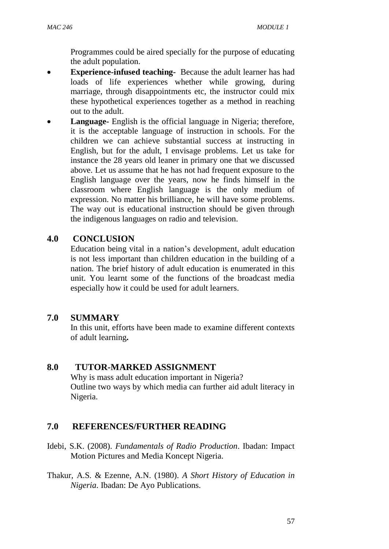Programmes could be aired specially for the purpose of educating the adult population.

- **Experience-infused teaching-** Because the adult learner has had loads of life experiences whether while growing, during marriage, through disappointments etc, the instructor could mix these hypothetical experiences together as a method in reaching out to the adult.
- **Language-** English is the official language in Nigeria; therefore, it is the acceptable language of instruction in schools. For the children we can achieve substantial success at instructing in English, but for the adult, I envisage problems. Let us take for instance the 28 years old leaner in primary one that we discussed above. Let us assume that he has not had frequent exposure to the English language over the years, now he finds himself in the classroom where English language is the only medium of expression. No matter his brilliance, he will have some problems. The way out is educational instruction should be given through the indigenous languages on radio and television.

## **4.0 CONCLUSION**

Education being vital in a nation's development, adult education is not less important than children education in the building of a nation. The brief history of adult education is enumerated in this unit. You learnt some of the functions of the broadcast media especially how it could be used for adult learners.

# **7.0 SUMMARY**

In this unit, efforts have been made to examine different contexts of adult learning**.**

## **8.0 TUTOR-MARKED ASSIGNMENT**

Why is mass adult education important in Nigeria? Outline two ways by which media can further aid adult literacy in Nigeria.

# **7.0 REFERENCES/FURTHER READING**

- Idebi, S.K. (2008). *Fundamentals of Radio Production*. Ibadan: Impact Motion Pictures and Media Koncept Nigeria.
- Thakur, A.S. & Ezenne, A.N. (1980). *A Short History of Education in Nigeria*. Ibadan: De Ayo Publications.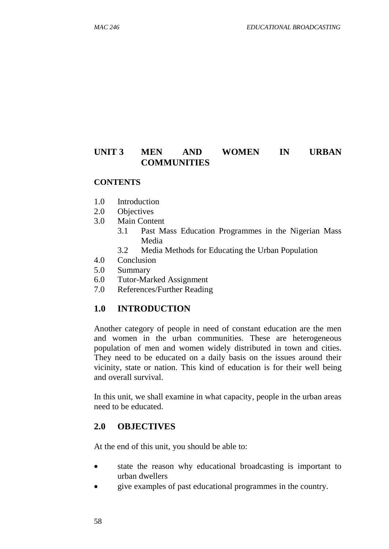## **UNIT 3 MEN AND WOMEN IN URBAN COMMUNITIES**

#### **CONTENTS**

- 1.0 Introduction
- 2.0 Objectives
- 3.0 Main Content
	- 3.1 Past Mass Education Programmes in the Nigerian Mass Media
	- 3.2 Media Methods for Educating the Urban Population
- 4.0 Conclusion
- 5.0 Summary
- 6.0 Tutor-Marked Assignment
- 7.0 References/Further Reading

### **1.0 INTRODUCTION**

Another category of people in need of constant education are the men and women in the urban communities. These are heterogeneous population of men and women widely distributed in town and cities. They need to be educated on a daily basis on the issues around their vicinity, state or nation. This kind of education is for their well being and overall survival.

In this unit, we shall examine in what capacity, people in the urban areas need to be educated.

#### **2.0 OBJECTIVES**

At the end of this unit, you should be able to:

- state the reason why educational broadcasting is important to urban dwellers
- give examples of past educational programmes in the country.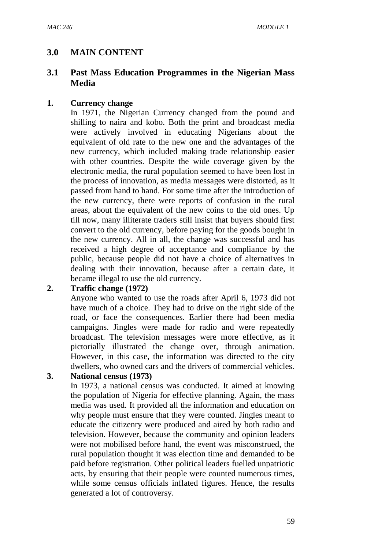## **3.0 MAIN CONTENT**

## **3.1 Past Mass Education Programmes in the Nigerian Mass Media**

#### **1. Currency change**

In 1971, the Nigerian Currency changed from the pound and shilling to naira and kobo. Both the print and broadcast media were actively involved in educating Nigerians about the equivalent of old rate to the new one and the advantages of the new currency, which included making trade relationship easier with other countries. Despite the wide coverage given by the electronic media, the rural population seemed to have been lost in the process of innovation, as media messages were distorted, as it passed from hand to hand. For some time after the introduction of the new currency, there were reports of confusion in the rural areas, about the equivalent of the new coins to the old ones. Up till now, many illiterate traders still insist that buyers should first convert to the old currency, before paying for the goods bought in the new currency. All in all, the change was successful and has received a high degree of acceptance and compliance by the public, because people did not have a choice of alternatives in dealing with their innovation, because after a certain date, it became illegal to use the old currency.

#### **2. Traffic change (1972)**

Anyone who wanted to use the roads after April 6, 1973 did not have much of a choice. They had to drive on the right side of the road, or face the consequences. Earlier there had been media campaigns. Jingles were made for radio and were repeatedly broadcast. The television messages were more effective, as it pictorially illustrated the change over, through animation. However, in this case, the information was directed to the city dwellers, who owned cars and the drivers of commercial vehicles.

### **3. National census (1973)**

In 1973, a national census was conducted. It aimed at knowing the population of Nigeria for effective planning. Again, the mass media was used. It provided all the information and education on why people must ensure that they were counted. Jingles meant to educate the citizenry were produced and aired by both radio and television. However, because the community and opinion leaders were not mobilised before hand, the event was misconstrued, the rural population thought it was election time and demanded to be paid before registration. Other political leaders fuelled unpatriotic acts, by ensuring that their people were counted numerous times, while some census officials inflated figures. Hence, the results generated a lot of controversy.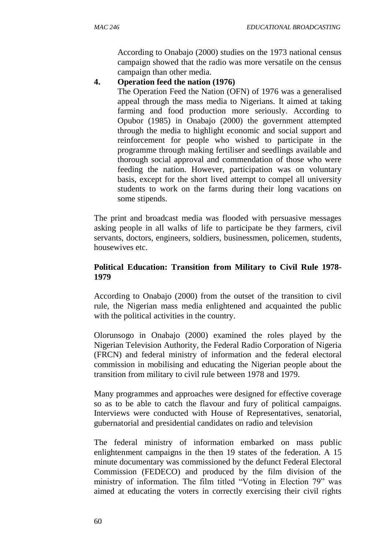According to Onabajo (2000) studies on the 1973 national census campaign showed that the radio was more versatile on the census campaign than other media.

#### **4. Operation feed the nation (1976)**

The Operation Feed the Nation (OFN) of 1976 was a generalised appeal through the mass media to Nigerians. It aimed at taking farming and food production more seriously. According to Opubor (1985) in Onabajo (2000) the government attempted through the media to highlight economic and social support and reinforcement for people who wished to participate in the programme through making fertiliser and seedlings available and thorough social approval and commendation of those who were feeding the nation. However, participation was on voluntary basis, except for the short lived attempt to compel all university students to work on the farms during their long vacations on some stipends.

The print and broadcast media was flooded with persuasive messages asking people in all walks of life to participate be they farmers, civil servants, doctors, engineers, soldiers, businessmen, policemen, students, housewives etc.

### **Political Education: Transition from Military to Civil Rule 1978- 1979**

According to Onabajo (2000) from the outset of the transition to civil rule, the Nigerian mass media enlightened and acquainted the public with the political activities in the country.

Olorunsogo in Onabajo (2000) examined the roles played by the Nigerian Television Authority, the Federal Radio Corporation of Nigeria (FRCN) and federal ministry of information and the federal electoral commission in mobilising and educating the Nigerian people about the transition from military to civil rule between 1978 and 1979.

Many programmes and approaches were designed for effective coverage so as to be able to catch the flavour and fury of political campaigns. Interviews were conducted with House of Representatives, senatorial, gubernatorial and presidential candidates on radio and television

The federal ministry of information embarked on mass public enlightenment campaigns in the then 19 states of the federation. A 15 minute documentary was commissioned by the defunct Federal Electoral Commission (FEDECO) and produced by the film division of the ministry of information. The film titled "Voting in Election 79" was aimed at educating the voters in correctly exercising their civil rights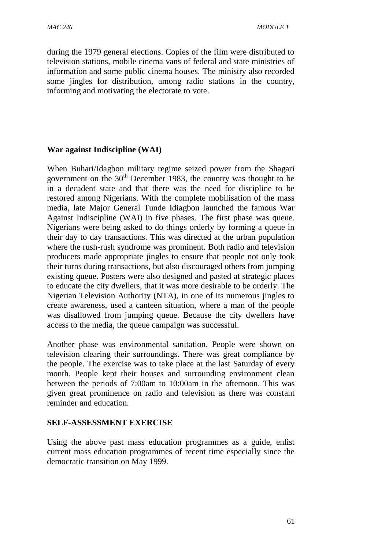during the 1979 general elections. Copies of the film were distributed to television stations, mobile cinema vans of federal and state ministries of information and some public cinema houses. The ministry also recorded some jingles for distribution, among radio stations in the country, informing and motivating the electorate to vote.

### **War against Indiscipline (WAI)**

When Buhari/Idagbon military regime seized power from the Shagari government on the  $30<sup>th</sup>$  December 1983, the country was thought to be in a decadent state and that there was the need for discipline to be restored among Nigerians. With the complete mobilisation of the mass media, late Major General Tunde Idiagbon launched the famous War Against Indiscipline (WAI) in five phases. The first phase was queue. Nigerians were being asked to do things orderly by forming a queue in their day to day transactions. This was directed at the urban population where the rush-rush syndrome was prominent. Both radio and television producers made appropriate jingles to ensure that people not only took their turns during transactions, but also discouraged others from jumping existing queue. Posters were also designed and pasted at strategic places to educate the city dwellers, that it was more desirable to be orderly. The Nigerian Television Authority (NTA), in one of its numerous jingles to create awareness, used a canteen situation, where a man of the people was disallowed from jumping queue. Because the city dwellers have access to the media, the queue campaign was successful.

Another phase was environmental sanitation. People were shown on television clearing their surroundings. There was great compliance by the people. The exercise was to take place at the last Saturday of every month. People kept their houses and surrounding environment clean between the periods of 7:00am to 10:00am in the afternoon. This was given great prominence on radio and television as there was constant reminder and education.

#### **SELF-ASSESSMENT EXERCISE**

Using the above past mass education programmes as a guide, enlist current mass education programmes of recent time especially since the democratic transition on May 1999.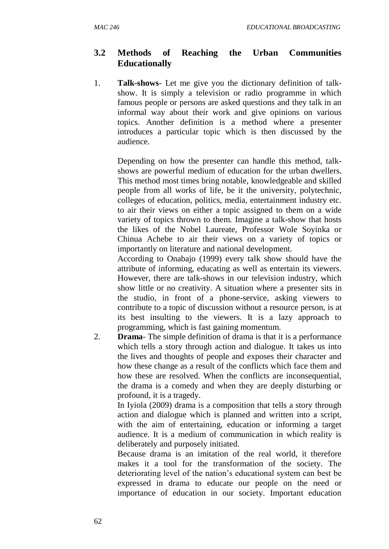## **3.2 Methods of Reaching the Urban Communities Educationally**

1. **Talk-shows**- Let me give you the dictionary definition of talkshow. It is simply a television or radio programme in which famous people or persons are asked questions and they talk in an informal way about their work and give opinions on various topics. Another definition is a method where a presenter introduces a particular topic which is then discussed by the audience.

Depending on how the presenter can handle this method, talkshows are powerful medium of education for the urban dwellers. This method most times bring notable, knowledgeable and skilled people from all works of life, be it the university, polytechnic, colleges of education, politics, media, entertainment industry etc. to air their views on either a topic assigned to them on a wide variety of topics thrown to them. Imagine a talk-show that hosts the likes of the Nobel Laureate, Professor Wole Soyinka or Chinua Achebe to air their views on a variety of topics or importantly on literature and national development.

According to Onabajo (1999) every talk show should have the attribute of informing, educating as well as entertain its viewers. However, there are talk-shows in our television industry, which show little or no creativity. A situation where a presenter sits in the studio, in front of a phone-service, asking viewers to contribute to a topic of discussion without a resource person, is at its best insulting to the viewers. It is a lazy approach to programming, which is fast gaining momentum.

2. **Drama**- The simple definition of drama is that it is a performance which tells a story through action and dialogue. It takes us into the lives and thoughts of people and exposes their character and how these change as a result of the conflicts which face them and how these are resolved. When the conflicts are inconsequential, the drama is a comedy and when they are deeply disturbing or profound, it is a tragedy.

In Iyiola (2009) drama is a composition that tells a story through action and dialogue which is planned and written into a script, with the aim of entertaining, education or informing a target audience. It is a medium of communication in which reality is deliberately and purposely initiated.

Because drama is an imitation of the real world, it therefore makes it a tool for the transformation of the society. The deteriorating level of the nation's educational system can best be expressed in drama to educate our people on the need or importance of education in our society. Important education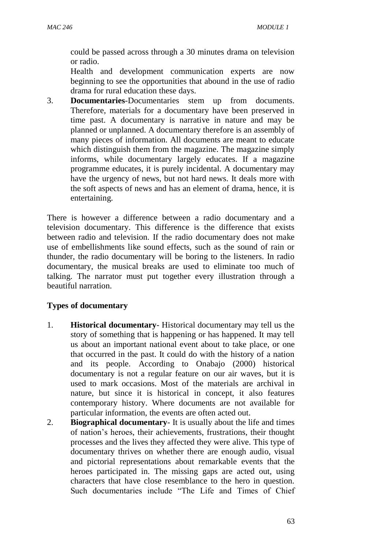could be passed across through a 30 minutes drama on television or radio.

Health and development communication experts are now beginning to see the opportunities that abound in the use of radio drama for rural education these days.

3. **Documentaries**-Documentaries stem up from documents. Therefore, materials for a documentary have been preserved in time past. A documentary is narrative in nature and may be planned or unplanned. A documentary therefore is an assembly of many pieces of information. All documents are meant to educate which distinguish them from the magazine. The magazine simply informs, while documentary largely educates. If a magazine programme educates, it is purely incidental. A documentary may have the urgency of news, but not hard news. It deals more with the soft aspects of news and has an element of drama, hence, it is entertaining.

There is however a difference between a radio documentary and a television documentary. This difference is the difference that exists between radio and television. If the radio documentary does not make use of embellishments like sound effects, such as the sound of rain or thunder, the radio documentary will be boring to the listeners. In radio documentary, the musical breaks are used to eliminate too much of talking. The narrator must put together every illustration through a beautiful narration.

### **Types of documentary**

- 1. **Historical documentary** Historical documentary may tell us the story of something that is happening or has happened. It may tell us about an important national event about to take place, or one that occurred in the past. It could do with the history of a nation and its people. According to Onabajo (2000) historical documentary is not a regular feature on our air waves, but it is used to mark occasions. Most of the materials are archival in nature, but since it is historical in concept, it also features contemporary history. Where documents are not available for particular information, the events are often acted out.
- 2. **Biographical documentary** It is usually about the life and times of nation's heroes, their achievements, frustrations, their thought processes and the lives they affected they were alive. This type of documentary thrives on whether there are enough audio, visual and pictorial representations about remarkable events that the heroes participated in. The missing gaps are acted out, using characters that have close resemblance to the hero in question. Such documentaries include "The Life and Times of Chief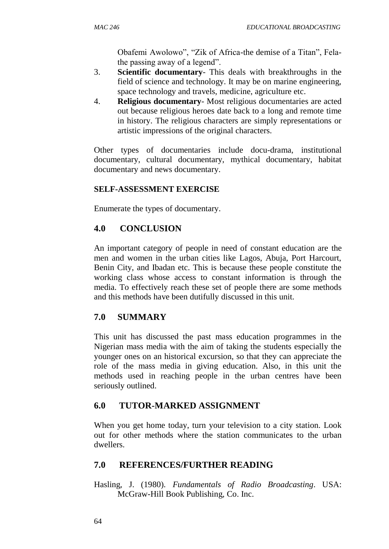Obafemi Awolowo", "Zik of Africa-the demise of a Titan", Felathe passing away of a legend".

- 3. **Scientific documentary** This deals with breakthroughs in the field of science and technology. It may be on marine engineering, space technology and travels, medicine, agriculture etc.
- 4. **Religious documentary** Most religious documentaries are acted out because religious heroes date back to a long and remote time in history. The religious characters are simply representations or artistic impressions of the original characters.

Other types of documentaries include docu-drama, institutional documentary, cultural documentary, mythical documentary, habitat documentary and news documentary.

### **SELF-ASSESSMENT EXERCISE**

Enumerate the types of documentary.

## **4.0 CONCLUSION**

An important category of people in need of constant education are the men and women in the urban cities like Lagos, Abuja, Port Harcourt, Benin City, and Ibadan etc. This is because these people constitute the working class whose access to constant information is through the media. To effectively reach these set of people there are some methods and this methods have been dutifully discussed in this unit.

## **7.0 SUMMARY**

This unit has discussed the past mass education programmes in the Nigerian mass media with the aim of taking the students especially the younger ones on an historical excursion, so that they can appreciate the role of the mass media in giving education. Also, in this unit the methods used in reaching people in the urban centres have been seriously outlined.

## **6.0 TUTOR-MARKED ASSIGNMENT**

When you get home today, turn your television to a city station. Look out for other methods where the station communicates to the urban dwellers.

## **7.0 REFERENCES/FURTHER READING**

Hasling, J. (1980). *Fundamentals of Radio Broadcasting*. USA: McGraw-Hill Book Publishing, Co. Inc.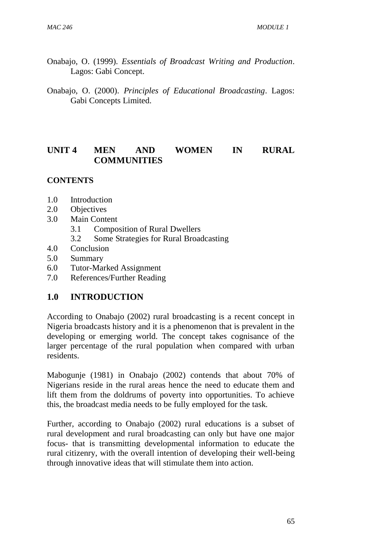- Onabajo, O. (1999). *Essentials of Broadcast Writing and Production*. Lagos: Gabi Concept.
- Onabajo, O. (2000). *Principles of Educational Broadcasting*. Lagos: Gabi Concepts Limited.

## **UNIT 4 MEN AND WOMEN IN RURAL COMMUNITIES**

#### **CONTENTS**

- 1.0 Introduction
- 2.0 Objectives
- 3.0 Main Content
	- 3.1 Composition of Rural Dwellers
	- 3.2 Some Strategies for Rural Broadcasting
- 4.0 Conclusion
- 5.0 Summary
- 6.0 Tutor-Marked Assignment
- 7.0 References/Further Reading

### **1.0 INTRODUCTION**

According to Onabajo (2002) rural broadcasting is a recent concept in Nigeria broadcasts history and it is a phenomenon that is prevalent in the developing or emerging world. The concept takes cognisance of the larger percentage of the rural population when compared with urban residents.

Mabogunje (1981) in Onabajo (2002) contends that about 70% of Nigerians reside in the rural areas hence the need to educate them and lift them from the doldrums of poverty into opportunities. To achieve this, the broadcast media needs to be fully employed for the task.

Further, according to Onabajo (2002) rural educations is a subset of rural development and rural broadcasting can only but have one major focus- that is transmitting developmental information to educate the rural citizenry, with the overall intention of developing their well-being through innovative ideas that will stimulate them into action.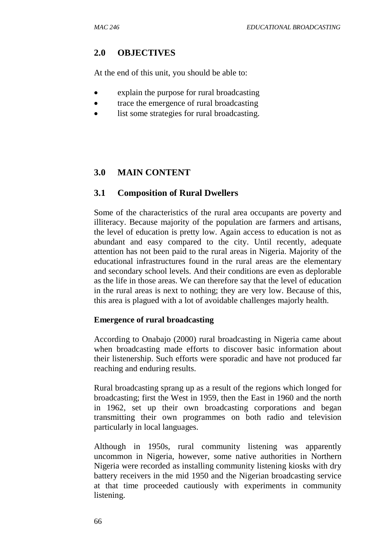### **2.0 OBJECTIVES**

At the end of this unit, you should be able to:

- explain the purpose for rural broadcasting
- trace the emergence of rural broadcasting
- list some strategies for rural broadcasting.

## **3.0 MAIN CONTENT**

### **3.1 Composition of Rural Dwellers**

Some of the characteristics of the rural area occupants are poverty and illiteracy. Because majority of the population are farmers and artisans, the level of education is pretty low. Again access to education is not as abundant and easy compared to the city. Until recently, adequate attention has not been paid to the rural areas in Nigeria. Majority of the educational infrastructures found in the rural areas are the elementary and secondary school levels. And their conditions are even as deplorable as the life in those areas. We can therefore say that the level of education in the rural areas is next to nothing; they are very low. Because of this, this area is plagued with a lot of avoidable challenges majorly health.

#### **Emergence of rural broadcasting**

According to Onabajo (2000) rural broadcasting in Nigeria came about when broadcasting made efforts to discover basic information about their listenership. Such efforts were sporadic and have not produced far reaching and enduring results.

Rural broadcasting sprang up as a result of the regions which longed for broadcasting; first the West in 1959, then the East in 1960 and the north in 1962, set up their own broadcasting corporations and began transmitting their own programmes on both radio and television particularly in local languages.

Although in 1950s, rural community listening was apparently uncommon in Nigeria, however, some native authorities in Northern Nigeria were recorded as installing community listening kiosks with dry battery receivers in the mid 1950 and the Nigerian broadcasting service at that time proceeded cautiously with experiments in community listening.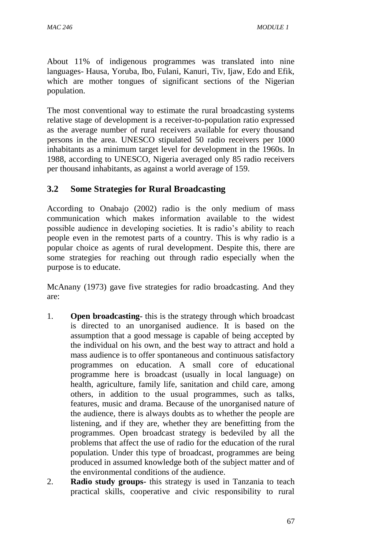About 11% of indigenous programmes was translated into nine languages- Hausa, Yoruba, Ibo, Fulani, Kanuri, Tiv, Ijaw, Edo and Efik, which are mother tongues of significant sections of the Nigerian population.

The most conventional way to estimate the rural broadcasting systems relative stage of development is a receiver-to-population ratio expressed as the average number of rural receivers available for every thousand persons in the area. UNESCO stipulated 50 radio receivers per 1000 inhabitants as a minimum target level for development in the 1960s. In 1988, according to UNESCO, Nigeria averaged only 85 radio receivers per thousand inhabitants, as against a world average of 159.

## **3.2 Some Strategies for Rural Broadcasting**

According to Onabajo (2002) radio is the only medium of mass communication which makes information available to the widest possible audience in developing societies. It is radio's ability to reach people even in the remotest parts of a country. This is why radio is a popular choice as agents of rural development. Despite this, there are some strategies for reaching out through radio especially when the purpose is to educate.

McAnany (1973) gave five strategies for radio broadcasting. And they are:

- 1. **Open broadcasting-** this is the strategy through which broadcast is directed to an unorganised audience. It is based on the assumption that a good message is capable of being accepted by the individual on his own, and the best way to attract and hold a mass audience is to offer spontaneous and continuous satisfactory programmes on education. A small core of educational programme here is broadcast (usually in local language) on health, agriculture, family life, sanitation and child care, among others, in addition to the usual programmes, such as talks, features, music and drama. Because of the unorganised nature of the audience, there is always doubts as to whether the people are listening, and if they are, whether they are benefitting from the programmes. Open broadcast strategy is bedeviled by all the problems that affect the use of radio for the education of the rural population. Under this type of broadcast, programmes are being produced in assumed knowledge both of the subject matter and of the environmental conditions of the audience.
- 2. **Radio study groups-** this strategy is used in Tanzania to teach practical skills, cooperative and civic responsibility to rural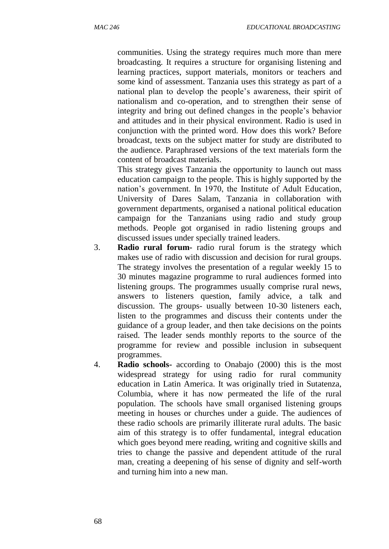communities. Using the strategy requires much more than mere broadcasting. It requires a structure for organising listening and learning practices, support materials, monitors or teachers and some kind of assessment. Tanzania uses this strategy as part of a national plan to develop the people's awareness, their spirit of nationalism and co-operation, and to strengthen their sense of integrity and bring out defined changes in the people's behavior and attitudes and in their physical environment. Radio is used in conjunction with the printed word. How does this work? Before broadcast, texts on the subject matter for study are distributed to the audience. Paraphrased versions of the text materials form the content of broadcast materials.

This strategy gives Tanzania the opportunity to launch out mass education campaign to the people. This is highly supported by the nation's government. In 1970, the Institute of Adult Education, University of Dares Salam, Tanzania in collaboration with government departments, organised a national political education campaign for the Tanzanians using radio and study group methods. People got organised in radio listening groups and discussed issues under specially trained leaders.

- 3. **Radio rural forum-** radio rural forum is the strategy which makes use of radio with discussion and decision for rural groups. The strategy involves the presentation of a regular weekly 15 to 30 minutes magazine programme to rural audiences formed into listening groups. The programmes usually comprise rural news, answers to listeners question, family advice, a talk and discussion. The groups- usually between 10-30 listeners each, listen to the programmes and discuss their contents under the guidance of a group leader, and then take decisions on the points raised. The leader sends monthly reports to the source of the programme for review and possible inclusion in subsequent programmes.
- 4. **Radio schools-** according to Onabajo (2000) this is the most widespread strategy for using radio for rural community education in Latin America. It was originally tried in Sutatenza, Columbia, where it has now permeated the life of the rural population. The schools have small organised listening groups meeting in houses or churches under a guide. The audiences of these radio schools are primarily illiterate rural adults. The basic aim of this strategy is to offer fundamental, integral education which goes beyond mere reading, writing and cognitive skills and tries to change the passive and dependent attitude of the rural man, creating a deepening of his sense of dignity and self-worth and turning him into a new man.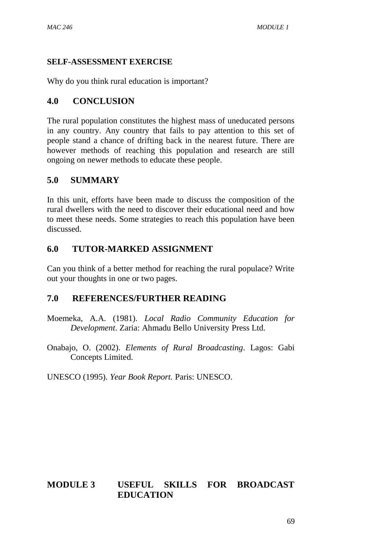### **SELF-ASSESSMENT EXERCISE**

Why do you think rural education is important?

## **4.0 CONCLUSION**

The rural population constitutes the highest mass of uneducated persons in any country. Any country that fails to pay attention to this set of people stand a chance of drifting back in the nearest future. There are however methods of reaching this population and research are still ongoing on newer methods to educate these people.

## **5.0 SUMMARY**

In this unit, efforts have been made to discuss the composition of the rural dwellers with the need to discover their educational need and how to meet these needs. Some strategies to reach this population have been discussed.

## **6.0 TUTOR-MARKED ASSIGNMENT**

Can you think of a better method for reaching the rural populace? Write out your thoughts in one or two pages.

## **7.0 REFERENCES/FURTHER READING**

Moemeka, A.A. (1981). *Local Radio Community Education for Development*. Zaria: Ahmadu Bello University Press Ltd.

Onabajo, O. (2002). *Elements of Rural Broadcasting*. Lagos: Gabi Concepts Limited.

UNESCO (1995). *Year Book Report.* Paris: UNESCO.

# **MODULE 3 USEFUL SKILLS FOR BROADCAST EDUCATION**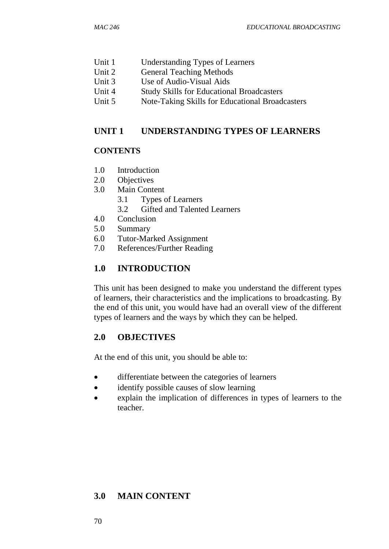- Unit 1 Understanding Types of Learners
- Unit 2 General Teaching Methods
- Unit 3 Use of Audio-Visual Aids
- Unit 4 Study Skills for Educational Broadcasters
- Unit 5 Note-Taking Skills for Educational Broadcasters

### **UNIT 1 UNDERSTANDING TYPES OF LEARNERS**

### **CONTENTS**

- 1.0 Introduction
- 2.0 Objectives
- 3.0 Main Content
	- 3.1 Types of Learners
	- 3.2 Gifted and Talented Learners
- 4.0 Conclusion
- 5.0 Summary
- 6.0 Tutor-Marked Assignment
- 7.0 References/Further Reading

## **1.0 INTRODUCTION**

This unit has been designed to make you understand the different types of learners, their characteristics and the implications to broadcasting. By the end of this unit, you would have had an overall view of the different types of learners and the ways by which they can be helped.

## **2.0 OBJECTIVES**

At the end of this unit, you should be able to:

- differentiate between the categories of learners
- identify possible causes of slow learning
- explain the implication of differences in types of learners to the teacher.

# **3.0 MAIN CONTENT**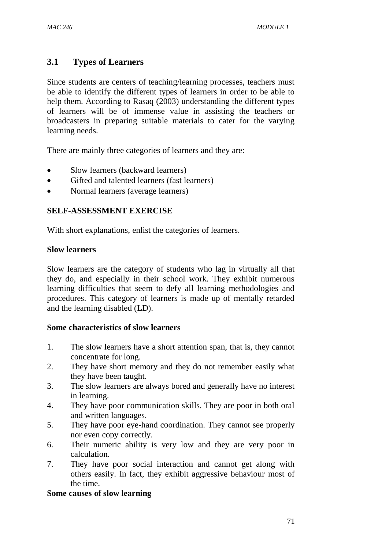## **3.1 Types of Learners**

Since students are centers of teaching/learning processes, teachers must be able to identify the different types of learners in order to be able to help them. According to Rasaq (2003) understanding the different types of learners will be of immense value in assisting the teachers or broadcasters in preparing suitable materials to cater for the varying learning needs.

There are mainly three categories of learners and they are:

- Slow learners (backward learners)
- Gifted and talented learners (fast learners)
- Normal learners (average learners)

#### **SELF-ASSESSMENT EXERCISE**

With short explanations, enlist the categories of learners.

#### **Slow learners**

Slow learners are the category of students who lag in virtually all that they do, and especially in their school work. They exhibit numerous learning difficulties that seem to defy all learning methodologies and procedures. This category of learners is made up of mentally retarded and the learning disabled (LD).

#### **Some characteristics of slow learners**

- 1. The slow learners have a short attention span, that is, they cannot concentrate for long.
- 2. They have short memory and they do not remember easily what they have been taught.
- 3. The slow learners are always bored and generally have no interest in learning.
- 4. They have poor communication skills. They are poor in both oral and written languages.
- 5. They have poor eye-hand coordination. They cannot see properly nor even copy correctly.
- 6. Their numeric ability is very low and they are very poor in calculation.
- 7. They have poor social interaction and cannot get along with others easily. In fact, they exhibit aggressive behaviour most of the time.

#### **Some causes of slow learning**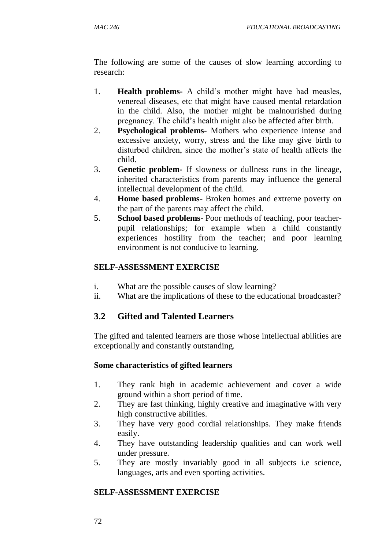The following are some of the causes of slow learning according to research:

- 1. **Health problems-** A child's mother might have had measles, venereal diseases, etc that might have caused mental retardation in the child. Also, the mother might be malnourished during pregnancy. The child's health might also be affected after birth.
- 2. **Psychological problems-** Mothers who experience intense and excessive anxiety, worry, stress and the like may give birth to disturbed children, since the mother's state of health affects the child.
- 3. **Genetic problem-** If slowness or dullness runs in the lineage, inherited characteristics from parents may influence the general intellectual development of the child.
- 4. **Home based problems-** Broken homes and extreme poverty on the part of the parents may affect the child.
- 5. **School based problems-** Poor methods of teaching, poor teacherpupil relationships; for example when a child constantly experiences hostility from the teacher; and poor learning environment is not conducive to learning.

## **SELF-ASSESSMENT EXERCISE**

- i. What are the possible causes of slow learning?
- ii. What are the implications of these to the educational broadcaster?

# **3.2 Gifted and Talented Learners**

The gifted and talented learners are those whose intellectual abilities are exceptionally and constantly outstanding.

### **Some characteristics of gifted learners**

- 1. They rank high in academic achievement and cover a wide ground within a short period of time.
- 2. They are fast thinking, highly creative and imaginative with very high constructive abilities.
- 3. They have very good cordial relationships. They make friends easily.
- 4. They have outstanding leadership qualities and can work well under pressure.
- 5. They are mostly invariably good in all subjects i.e science, languages, arts and even sporting activities.

### **SELF-ASSESSMENT EXERCISE**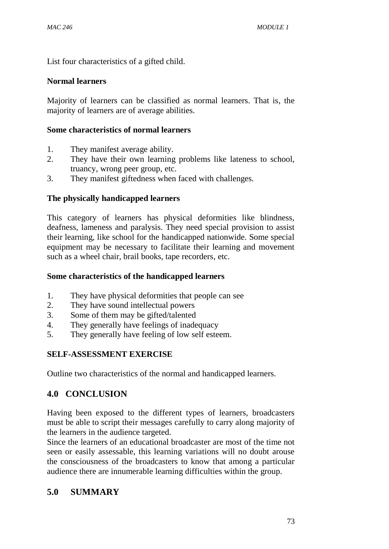List four characteristics of a gifted child.

### **Normal learners**

Majority of learners can be classified as normal learners. That is, the majority of learners are of average abilities.

### **Some characteristics of normal learners**

- 1. They manifest average ability.
- 2. They have their own learning problems like lateness to school, truancy, wrong peer group, etc.
- 3. They manifest giftedness when faced with challenges.

## **The physically handicapped learners**

This category of learners has physical deformities like blindness, deafness, lameness and paralysis. They need special provision to assist their learning, like school for the handicapped nationwide. Some special equipment may be necessary to facilitate their learning and movement such as a wheel chair, brail books, tape recorders, etc.

### **Some characteristics of the handicapped learners**

- 1. They have physical deformities that people can see
- 2. They have sound intellectual powers
- 3. Some of them may be gifted/talented
- 4. They generally have feelings of inadequacy
- 5. They generally have feeling of low self esteem.

## **SELF-ASSESSMENT EXERCISE**

Outline two characteristics of the normal and handicapped learners.

# **4.0 CONCLUSION**

Having been exposed to the different types of learners, broadcasters must be able to script their messages carefully to carry along majority of the learners in the audience targeted.

Since the learners of an educational broadcaster are most of the time not seen or easily assessable, this learning variations will no doubt arouse the consciousness of the broadcasters to know that among a particular audience there are innumerable learning difficulties within the group.

## **5.0 SUMMARY**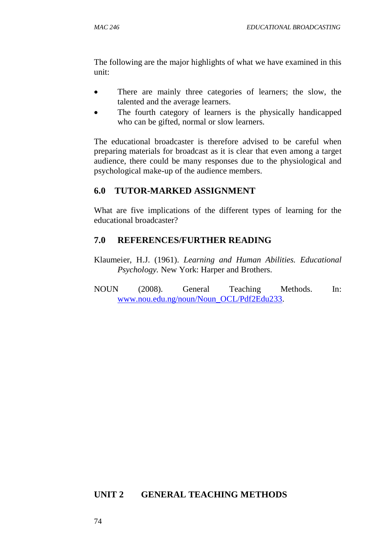The following are the major highlights of what we have examined in this unit:

- There are mainly three categories of learners; the slow, the talented and the average learners.
- The fourth category of learners is the physically handicapped who can be gifted, normal or slow learners.

The educational broadcaster is therefore advised to be careful when preparing materials for broadcast as it is clear that even among a target audience, there could be many responses due to the physiological and psychological make-up of the audience members.

## **6.0 TUTOR-MARKED ASSIGNMENT**

What are five implications of the different types of learning for the educational broadcaster?

## **7.0 REFERENCES/FURTHER READING**

- Klaumeier, H.J. (1961). *Learning and Human Abilities. Educational Psychology.* New York: Harper and Brothers.
- NOUN (2008). General Teaching Methods. In: [www.nou.edu.ng/noun/Noun\\_OCL/Pdf2Edu233.](http://www.nou.edu.ng/noun/Noun_OCL/Pdf2Edu233)

### **UNIT 2 GENERAL TEACHING METHODS**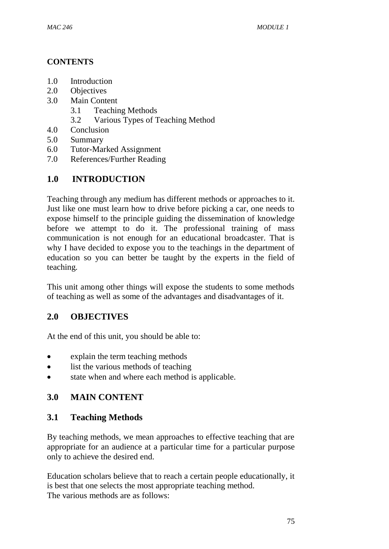## **CONTENTS**

- 1.0 Introduction
- 2.0 Objectives
- 3.0 Main Content
	- 3.1 Teaching Methods
	- 3.2 Various Types of Teaching Method
- 4.0 Conclusion
- 5.0 Summary
- 6.0 Tutor-Marked Assignment
- 7.0 References/Further Reading

# **1.0 INTRODUCTION**

Teaching through any medium has different methods or approaches to it. Just like one must learn how to drive before picking a car, one needs to expose himself to the principle guiding the dissemination of knowledge before we attempt to do it. The professional training of mass communication is not enough for an educational broadcaster. That is why I have decided to expose you to the teachings in the department of education so you can better be taught by the experts in the field of teaching.

This unit among other things will expose the students to some methods of teaching as well as some of the advantages and disadvantages of it.

# **2.0 OBJECTIVES**

At the end of this unit, you should be able to:

- explain the term teaching methods
- list the various methods of teaching
- state when and where each method is applicable.

# **3.0 MAIN CONTENT**

## **3.1 Teaching Methods**

By teaching methods, we mean approaches to effective teaching that are appropriate for an audience at a particular time for a particular purpose only to achieve the desired end.

Education scholars believe that to reach a certain people educationally, it is best that one selects the most appropriate teaching method. The various methods are as follows: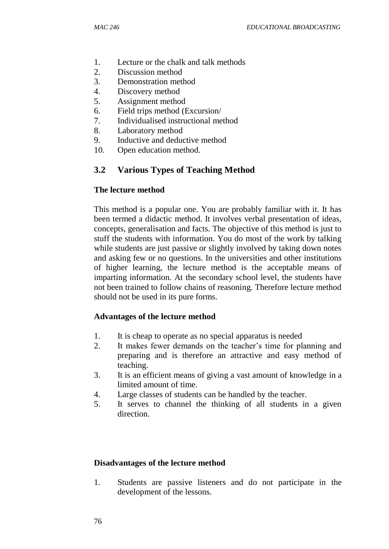- 1. Lecture or the chalk and talk methods
- 2. Discussion method
- 3. Demonstration method
- 4. Discovery method
- 5. Assignment method
- 6. Field trips method (Excursion/
- 7. Individualised instructional method
- 8. Laboratory method
- 9. Inductive and deductive method
- 10. Open education method.

#### **3.2 Various Types of Teaching Method**

#### **The lecture method**

This method is a popular one. You are probably familiar with it. It has been termed a didactic method. It involves verbal presentation of ideas, concepts, generalisation and facts. The objective of this method is just to stuff the students with information. You do most of the work by talking while students are just passive or slightly involved by taking down notes and asking few or no questions. In the universities and other institutions of higher learning, the lecture method is the acceptable means of imparting information. At the secondary school level, the students have not been trained to follow chains of reasoning. Therefore lecture method should not be used in its pure forms.

#### **Advantages of the lecture method**

- 1. It is cheap to operate as no special apparatus is needed
- 2. It makes fewer demands on the teacher's time for planning and preparing and is therefore an attractive and easy method of teaching.
- 3. It is an efficient means of giving a vast amount of knowledge in a limited amount of time.
- 4. Large classes of students can be handled by the teacher.
- 5. It serves to channel the thinking of all students in a given direction.

#### **Disadvantages of the lecture method**

1. Students are passive listeners and do not participate in the development of the lessons.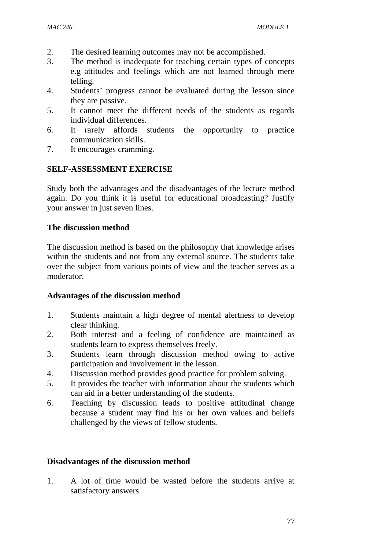- 2. The desired learning outcomes may not be accomplished.
- 3. The method is inadequate for teaching certain types of concepts e.g attitudes and feelings which are not learned through mere telling.
- 4. Students' progress cannot be evaluated during the lesson since they are passive.
- 5. It cannot meet the different needs of the students as regards individual differences.
- 6. It rarely affords students the opportunity to practice communication skills.
- 7. It encourages cramming.

### **SELF-ASSESSMENT EXERCISE**

Study both the advantages and the disadvantages of the lecture method again. Do you think it is useful for educational broadcasting? Justify your answer in just seven lines.

### **The discussion method**

The discussion method is based on the philosophy that knowledge arises within the students and not from any external source. The students take over the subject from various points of view and the teacher serves as a moderator.

### **Advantages of the discussion method**

- 1. Students maintain a high degree of mental alertness to develop clear thinking.
- 2. Both interest and a feeling of confidence are maintained as students learn to express themselves freely.
- 3. Students learn through discussion method owing to active participation and involvement in the lesson.
- 4. Discussion method provides good practice for problem solving.
- 5. It provides the teacher with information about the students which can aid in a better understanding of the students.
- 6. Teaching by discussion leads to positive attitudinal change because a student may find his or her own values and beliefs challenged by the views of fellow students.

## **Disadvantages of the discussion method**

1. A lot of time would be wasted before the students arrive at satisfactory answers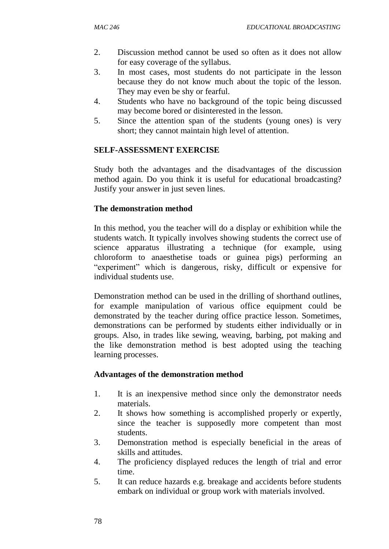- 2. Discussion method cannot be used so often as it does not allow for easy coverage of the syllabus.
- 3. In most cases, most students do not participate in the lesson because they do not know much about the topic of the lesson. They may even be shy or fearful.
- 4. Students who have no background of the topic being discussed may become bored or disinterested in the lesson.
- 5. Since the attention span of the students (young ones) is very short; they cannot maintain high level of attention.

### **SELF-ASSESSMENT EXERCISE**

Study both the advantages and the disadvantages of the discussion method again. Do you think it is useful for educational broadcasting? Justify your answer in just seven lines.

### **The demonstration method**

In this method, you the teacher will do a display or exhibition while the students watch. It typically involves showing students the correct use of science apparatus illustrating a technique (for example, using chloroform to anaesthetise toads or guinea pigs) performing an "experiment" which is dangerous, risky, difficult or expensive for individual students use.

Demonstration method can be used in the drilling of shorthand outlines, for example manipulation of various office equipment could be demonstrated by the teacher during office practice lesson. Sometimes, demonstrations can be performed by students either individually or in groups. Also, in trades like sewing, weaving, barbing, pot making and the like demonstration method is best adopted using the teaching learning processes.

### **Advantages of the demonstration method**

- 1. It is an inexpensive method since only the demonstrator needs materials.
- 2. It shows how something is accomplished properly or expertly, since the teacher is supposedly more competent than most students.
- 3. Demonstration method is especially beneficial in the areas of skills and attitudes.
- 4. The proficiency displayed reduces the length of trial and error time.
- 5. It can reduce hazards e.g. breakage and accidents before students embark on individual or group work with materials involved.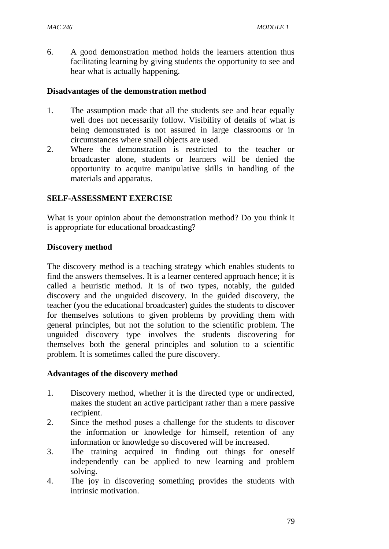6. A good demonstration method holds the learners attention thus facilitating learning by giving students the opportunity to see and hear what is actually happening.

#### **Disadvantages of the demonstration method**

- 1. The assumption made that all the students see and hear equally well does not necessarily follow. Visibility of details of what is being demonstrated is not assured in large classrooms or in circumstances where small objects are used.
- 2. Where the demonstration is restricted to the teacher or broadcaster alone, students or learners will be denied the opportunity to acquire manipulative skills in handling of the materials and apparatus.

#### **SELF-ASSESSMENT EXERCISE**

What is your opinion about the demonstration method? Do you think it is appropriate for educational broadcasting?

#### **Discovery method**

The discovery method is a teaching strategy which enables students to find the answers themselves. It is a learner centered approach hence; it is called a heuristic method. It is of two types, notably, the guided discovery and the unguided discovery. In the guided discovery, the teacher (you the educational broadcaster) guides the students to discover for themselves solutions to given problems by providing them with general principles, but not the solution to the scientific problem. The unguided discovery type involves the students discovering for themselves both the general principles and solution to a scientific problem. It is sometimes called the pure discovery.

#### **Advantages of the discovery method**

- 1. Discovery method, whether it is the directed type or undirected, makes the student an active participant rather than a mere passive recipient.
- 2. Since the method poses a challenge for the students to discover the information or knowledge for himself, retention of any information or knowledge so discovered will be increased.
- 3. The training acquired in finding out things for oneself independently can be applied to new learning and problem solving.
- 4. The joy in discovering something provides the students with intrinsic motivation.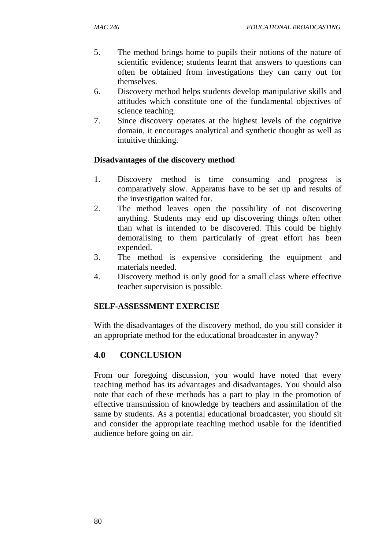- 5. The method brings home to pupils their notions of the nature of scientific evidence; students learnt that answers to questions can often be obtained from investigations they can carry out for themselves.
- 6. Discovery method helps students develop manipulative skills and attitudes which constitute one of the fundamental objectives of science teaching.
- 7. Since discovery operates at the highest levels of the cognitive domain, it encourages analytical and synthetic thought as well as intuitive thinking.

### **Disadvantages of the discovery method**

- 1. Discovery method is time consuming and progress is comparatively slow. Apparatus have to be set up and results of the investigation waited for.
- 2. The method leaves open the possibility of not discovering anything. Students may end up discovering things often other than what is intended to be discovered. This could be highly demoralising to them particularly of great effort has been expended.
- 3. The method is expensive considering the equipment and materials needed.
- 4. Discovery method is only good for a small class where effective teacher supervision is possible.

### **SELF-ASSESSMENT EXERCISE**

With the disadvantages of the discovery method, do you still consider it an appropriate method for the educational broadcaster in anyway?

# **4.0 CONCLUSION**

From our foregoing discussion, you would have noted that every teaching method has its advantages and disadvantages. You should also note that each of these methods has a part to play in the promotion of effective transmission of knowledge by teachers and assimilation of the same by students. As a potential educational broadcaster, you should sit and consider the appropriate teaching method usable for the identified audience before going on air.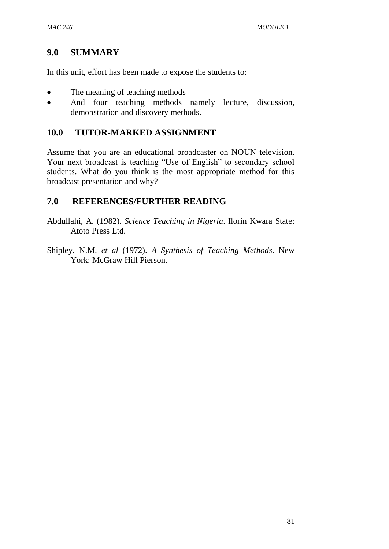### **9.0 SUMMARY**

In this unit, effort has been made to expose the students to:

- The meaning of teaching methods
- And four teaching methods namely lecture, discussion, demonstration and discovery methods.

### **10.0 TUTOR-MARKED ASSIGNMENT**

Assume that you are an educational broadcaster on NOUN television. Your next broadcast is teaching "Use of English" to secondary school students. What do you think is the most appropriate method for this broadcast presentation and why?

### **7.0 REFERENCES/FURTHER READING**

Abdullahi, A. (1982). *Science Teaching in Nigeria*. Ilorin Kwara State: Atoto Press Ltd.

Shipley, N.M. *et al* (1972). *A Synthesis of Teaching Methods*. New York: McGraw Hill Pierson.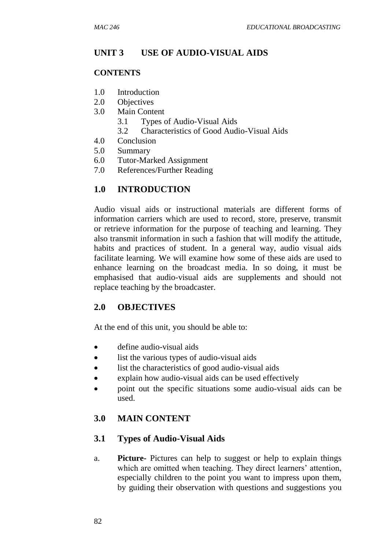## **UNIT 3 USE OF AUDIO-VISUAL AIDS**

#### **CONTENTS**

- 1.0 Introduction
- 2.0 Objectives
- 3.0 Main Content
	- 3.1 Types of Audio-Visual Aids
	- 3.2 Characteristics of Good Audio-Visual Aids
- 4.0 Conclusion
- 5.0 Summary
- 6.0 Tutor-Marked Assignment
- 7.0 References/Further Reading

## **1.0 INTRODUCTION**

Audio visual aids or instructional materials are different forms of information carriers which are used to record, store, preserve, transmit or retrieve information for the purpose of teaching and learning. They also transmit information in such a fashion that will modify the attitude, habits and practices of student. In a general way, audio visual aids facilitate learning. We will examine how some of these aids are used to enhance learning on the broadcast media. In so doing, it must be emphasised that audio-visual aids are supplements and should not replace teaching by the broadcaster.

### **2.0 OBJECTIVES**

At the end of this unit, you should be able to:

- define audio-visual aids
- list the various types of audio-visual aids
- list the characteristics of good audio-visual aids
- explain how audio-visual aids can be used effectively
- point out the specific situations some audio-visual aids can be used.

## **3.0 MAIN CONTENT**

### **3.1 Types of Audio-Visual Aids**

a. **Picture-** Pictures can help to suggest or help to explain things which are omitted when teaching. They direct learners' attention, especially children to the point you want to impress upon them, by guiding their observation with questions and suggestions you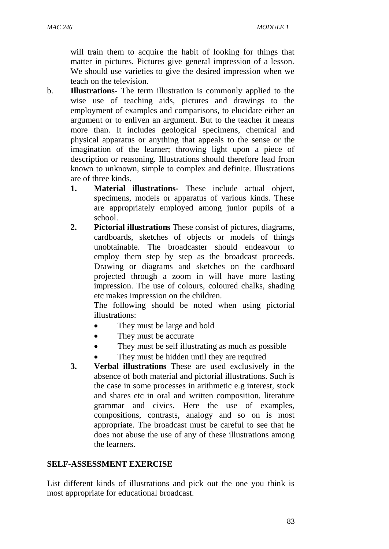will train them to acquire the habit of looking for things that matter in pictures. Pictures give general impression of a lesson. We should use varieties to give the desired impression when we teach on the television.

- b. **Illustrations-** The term illustration is commonly applied to the wise use of teaching aids, pictures and drawings to the employment of examples and comparisons, to elucidate either an argument or to enliven an argument. But to the teacher it means more than. It includes geological specimens, chemical and physical apparatus or anything that appeals to the sense or the imagination of the learner; throwing light upon a piece of description or reasoning. Illustrations should therefore lead from known to unknown, simple to complex and definite. Illustrations are of three kinds.
	- **1. Material illustrations-** These include actual object, specimens, models or apparatus of various kinds. These are appropriately employed among junior pupils of a school.
	- **2. Pictorial illustrations** These consist of pictures, diagrams, cardboards, sketches of objects or models of things unobtainable. The broadcaster should endeavour to employ them step by step as the broadcast proceeds. Drawing or diagrams and sketches on the cardboard projected through a zoom in will have more lasting impression. The use of colours, coloured chalks, shading etc makes impression on the children.

The following should be noted when using pictorial illustrations:

- They must be large and bold
- They must be accurate
- They must be self illustrating as much as possible
- They must be hidden until they are required
- **3. Verbal illustrations** These are used exclusively in the absence of both material and pictorial illustrations. Such is the case in some processes in arithmetic e.g interest, stock and shares etc in oral and written composition, literature grammar and civics. Here the use of examples, compositions, contrasts, analogy and so on is most appropriate. The broadcast must be careful to see that he does not abuse the use of any of these illustrations among the learners.

#### **SELF-ASSESSMENT EXERCISE**

List different kinds of illustrations and pick out the one you think is most appropriate for educational broadcast.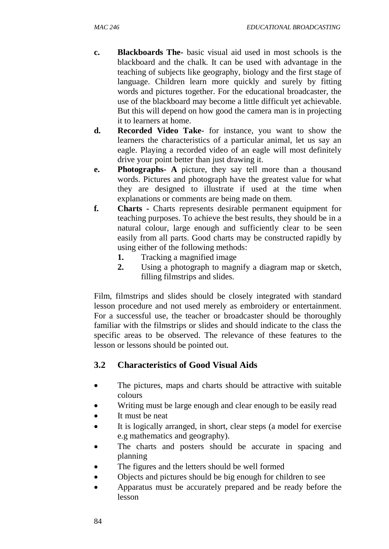- **c. Blackboards The-** basic visual aid used in most schools is the blackboard and the chalk. It can be used with advantage in the teaching of subjects like geography, biology and the first stage of language. Children learn more quickly and surely by fitting words and pictures together. For the educational broadcaster, the use of the blackboard may become a little difficult yet achievable. But this will depend on how good the camera man is in projecting it to learners at home.
- **d. Recorded Video Take-** for instance, you want to show the learners the characteristics of a particular animal, let us say an eagle. Playing a recorded video of an eagle will most definitely drive your point better than just drawing it.
- **e. Photographs- A** picture, they say tell more than a thousand words. Pictures and photograph have the greatest value for what they are designed to illustrate if used at the time when explanations or comments are being made on them.
- **f. Charts -** Charts represents desirable permanent equipment for teaching purposes. To achieve the best results, they should be in a natural colour, large enough and sufficiently clear to be seen easily from all parts. Good charts may be constructed rapidly by using either of the following methods:
	- **1.** Tracking a magnified image
	- **2.** Using a photograph to magnify a diagram map or sketch, filling filmstrips and slides.

Film, filmstrips and slides should be closely integrated with standard lesson procedure and not used merely as embroidery or entertainment. For a successful use, the teacher or broadcaster should be thoroughly familiar with the filmstrips or slides and should indicate to the class the specific areas to be observed. The relevance of these features to the lesson or lessons should be pointed out.

# **3.2 Characteristics of Good Visual Aids**

- The pictures, maps and charts should be attractive with suitable colours
- Writing must be large enough and clear enough to be easily read
- It must be neat
- It is logically arranged, in short, clear steps (a model for exercise e.g mathematics and geography).
- The charts and posters should be accurate in spacing and planning
- The figures and the letters should be well formed
- Objects and pictures should be big enough for children to see
- Apparatus must be accurately prepared and be ready before the lesson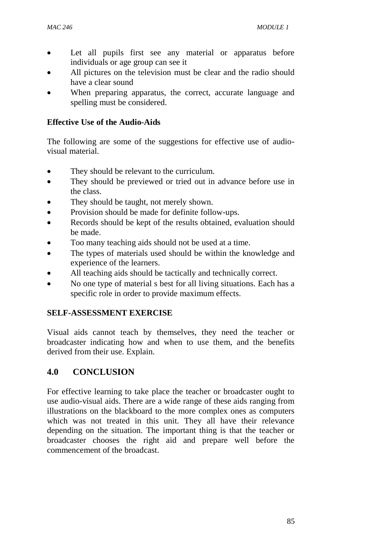- Let all pupils first see any material or apparatus before individuals or age group can see it
- All pictures on the television must be clear and the radio should have a clear sound
- When preparing apparatus, the correct, accurate language and spelling must be considered.

### **Effective Use of the Audio-Aids**

The following are some of the suggestions for effective use of audiovisual material.

- They should be relevant to the curriculum.
- They should be previewed or tried out in advance before use in the class.
- They should be taught, not merely shown.
- Provision should be made for definite follow-ups.
- Records should be kept of the results obtained, evaluation should be made.
- Too many teaching aids should not be used at a time.
- The types of materials used should be within the knowledge and experience of the learners.
- All teaching aids should be tactically and technically correct.
- No one type of material s best for all living situations. Each has a specific role in order to provide maximum effects.

## **SELF-ASSESSMENT EXERCISE**

Visual aids cannot teach by themselves, they need the teacher or broadcaster indicating how and when to use them, and the benefits derived from their use. Explain.

# **4.0 CONCLUSION**

For effective learning to take place the teacher or broadcaster ought to use audio-visual aids. There are a wide range of these aids ranging from illustrations on the blackboard to the more complex ones as computers which was not treated in this unit. They all have their relevance depending on the situation. The important thing is that the teacher or broadcaster chooses the right aid and prepare well before the commencement of the broadcast.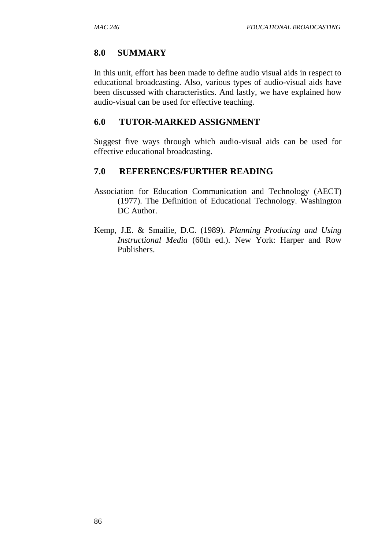## **8.0 SUMMARY**

In this unit, effort has been made to define audio visual aids in respect to educational broadcasting. Also, various types of audio-visual aids have been discussed with characteristics. And lastly, we have explained how audio-visual can be used for effective teaching.

### **6.0 TUTOR-MARKED ASSIGNMENT**

Suggest five ways through which audio-visual aids can be used for effective educational broadcasting.

## **7.0 REFERENCES/FURTHER READING**

- Association for Education Communication and Technology (AECT) (1977). The Definition of Educational Technology. Washington DC Author.
- Kemp, J.E. & Smailie, D.C. (1989). *Planning Producing and Using Instructional Media* (60th ed.). New York: Harper and Row Publishers.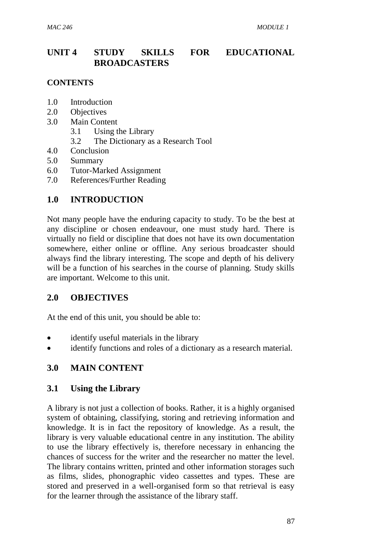# **UNIT 4 STUDY SKILLS FOR EDUCATIONAL BROADCASTERS**

#### **CONTENTS**

- 1.0 Introduction
- 2.0 Objectives
- 3.0 Main Content
	- 3.1 Using the Library
	- 3.2 The Dictionary as a Research Tool
- 4.0 Conclusion
- 5.0 Summary
- 6.0 Tutor-Marked Assignment
- 7.0 References/Further Reading

### **1.0 INTRODUCTION**

Not many people have the enduring capacity to study. To be the best at any discipline or chosen endeavour, one must study hard. There is virtually no field or discipline that does not have its own documentation somewhere, either online or offline. Any serious broadcaster should always find the library interesting. The scope and depth of his delivery will be a function of his searches in the course of planning. Study skills are important. Welcome to this unit.

### **2.0 OBJECTIVES**

At the end of this unit, you should be able to:

- identify useful materials in the library
- identify functions and roles of a dictionary as a research material.

### **3.0 MAIN CONTENT**

### **3.1 Using the Library**

A library is not just a collection of books. Rather, it is a highly organised system of obtaining, classifying, storing and retrieving information and knowledge. It is in fact the repository of knowledge. As a result, the library is very valuable educational centre in any institution. The ability to use the library effectively is, therefore necessary in enhancing the chances of success for the writer and the researcher no matter the level. The library contains written, printed and other information storages such as films, slides, phonographic video cassettes and types. These are stored and preserved in a well-organised form so that retrieval is easy for the learner through the assistance of the library staff.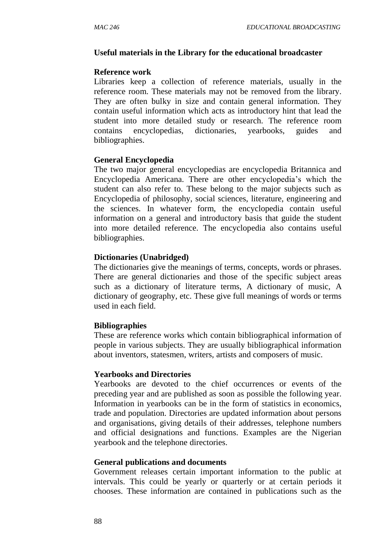#### **Useful materials in the Library for the educational broadcaster**

#### **Reference work**

Libraries keep a collection of reference materials, usually in the reference room. These materials may not be removed from the library. They are often bulky in size and contain general information. They contain useful information which acts as introductory hint that lead the student into more detailed study or research. The reference room contains encyclopedias, dictionaries, yearbooks, guides and bibliographies.

#### **General Encyclopedia**

The two major general encyclopedias are encyclopedia Britannica and Encyclopedia Americana. There are other encyclopedia's which the student can also refer to. These belong to the major subjects such as Encyclopedia of philosophy, social sciences, literature, engineering and the sciences. In whatever form, the encyclopedia contain useful information on a general and introductory basis that guide the student into more detailed reference. The encyclopedia also contains useful bibliographies.

#### **Dictionaries (Unabridged)**

The dictionaries give the meanings of terms, concepts, words or phrases. There are general dictionaries and those of the specific subject areas such as a dictionary of literature terms, A dictionary of music, A dictionary of geography, etc. These give full meanings of words or terms used in each field.

#### **Bibliographies**

These are reference works which contain bibliographical information of people in various subjects. They are usually bibliographical information about inventors, statesmen, writers, artists and composers of music.

#### **Yearbooks and Directories**

Yearbooks are devoted to the chief occurrences or events of the preceding year and are published as soon as possible the following year. Information in yearbooks can be in the form of statistics in economics, trade and population. Directories are updated information about persons and organisations, giving details of their addresses, telephone numbers and official designations and functions. Examples are the Nigerian yearbook and the telephone directories.

#### **General publications and documents**

Government releases certain important information to the public at intervals. This could be yearly or quarterly or at certain periods it chooses. These information are contained in publications such as the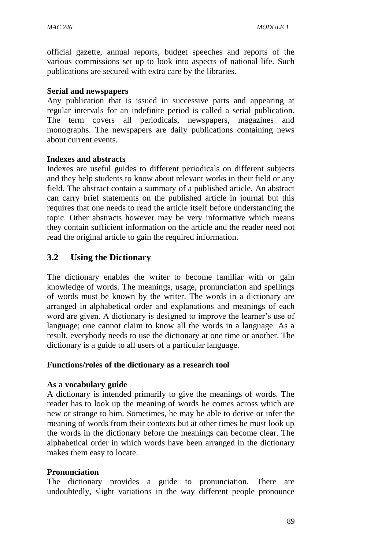official gazette, annual reports, budget speeches and reports of the various commissions set up to look into aspects of national life. Such publications are secured with extra care by the libraries.

#### **Serial and newspapers**

Any publication that is issued in successive parts and appearing at regular intervals for an indefinite period is called a serial publication. The term covers all periodicals, newspapers, magazines and monographs. The newspapers are daily publications containing news about current events.

#### **Indexes and abstracts**

Indexes are useful guides to different periodicals on different subjects and they help students to know about relevant works in their field or any field. The abstract contain a summary of a published article. An abstract can carry brief statements on the published article in journal but this requires that one needs to read the article itself before understanding the topic. Other abstracts however may be very informative which means they contain sufficient information on the article and the reader need not read the original article to gain the required information.

### **3.2 Using the Dictionary**

The dictionary enables the writer to become familiar with or gain knowledge of words. The meanings, usage, pronunciation and spellings of words must be known by the writer. The words in a dictionary are arranged in alphabetical order and explanations and meanings of each word are given. A dictionary is designed to improve the learner's use of language; one cannot claim to know all the words in a language. As a result, everybody needs to use the dictionary at one time or another. The dictionary is a guide to all users of a particular language.

#### **Functions/roles of the dictionary as a research tool**

#### **As a vocabulary guide**

A dictionary is intended primarily to give the meanings of words. The reader has to look up the meaning of words he comes across which are new or strange to him. Sometimes, he may be able to derive or infer the meaning of words from their contexts but at other times he must look up the words in the dictionary before the meanings can become clear. The alphabetical order in which words have been arranged in the dictionary makes them easy to locate.

#### **Pronunciation**

The dictionary provides a guide to pronunciation. There are undoubtedly, slight variations in the way different people pronounce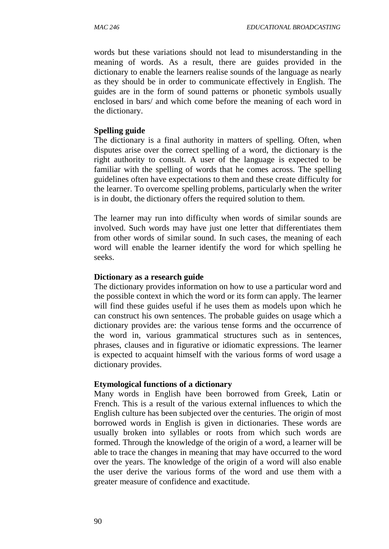words but these variations should not lead to misunderstanding in the meaning of words. As a result, there are guides provided in the dictionary to enable the learners realise sounds of the language as nearly as they should be in order to communicate effectively in English. The guides are in the form of sound patterns or phonetic symbols usually enclosed in bars/ and which come before the meaning of each word in the dictionary.

#### **Spelling guide**

The dictionary is a final authority in matters of spelling. Often, when disputes arise over the correct spelling of a word, the dictionary is the right authority to consult. A user of the language is expected to be familiar with the spelling of words that he comes across. The spelling guidelines often have expectations to them and these create difficulty for the learner. To overcome spelling problems, particularly when the writer is in doubt, the dictionary offers the required solution to them.

The learner may run into difficulty when words of similar sounds are involved. Such words may have just one letter that differentiates them from other words of similar sound. In such cases, the meaning of each word will enable the learner identify the word for which spelling he seeks.

#### **Dictionary as a research guide**

The dictionary provides information on how to use a particular word and the possible context in which the word or its form can apply. The learner will find these guides useful if he uses them as models upon which he can construct his own sentences. The probable guides on usage which a dictionary provides are: the various tense forms and the occurrence of the word in, various grammatical structures such as in sentences, phrases, clauses and in figurative or idiomatic expressions. The learner is expected to acquaint himself with the various forms of word usage a dictionary provides.

#### **Etymological functions of a dictionary**

Many words in English have been borrowed from Greek, Latin or French. This is a result of the various external influences to which the English culture has been subjected over the centuries. The origin of most borrowed words in English is given in dictionaries. These words are usually broken into syllables or roots from which such words are formed. Through the knowledge of the origin of a word, a learner will be able to trace the changes in meaning that may have occurred to the word over the years. The knowledge of the origin of a word will also enable the user derive the various forms of the word and use them with a greater measure of confidence and exactitude.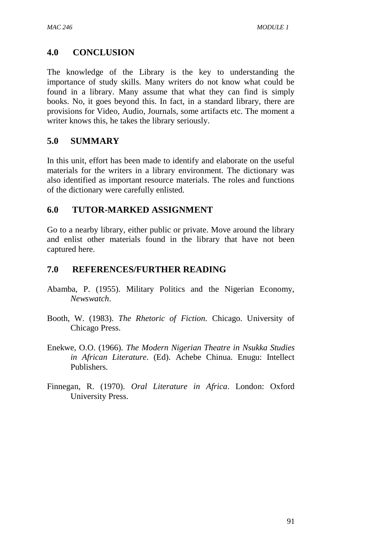## **4.0 CONCLUSION**

The knowledge of the Library is the key to understanding the importance of study skills. Many writers do not know what could be found in a library. Many assume that what they can find is simply books. No, it goes beyond this. In fact, in a standard library, there are provisions for Video, Audio, Journals, some artifacts etc. The moment a writer knows this, he takes the library seriously.

### **5.0 SUMMARY**

In this unit, effort has been made to identify and elaborate on the useful materials for the writers in a library environment. The dictionary was also identified as important resource materials. The roles and functions of the dictionary were carefully enlisted.

### **6.0 TUTOR-MARKED ASSIGNMENT**

Go to a nearby library, either public or private. Move around the library and enlist other materials found in the library that have not been captured here.

### **7.0 REFERENCES/FURTHER READING**

- Abamba, P. (1955). Military Politics and the Nigerian Economy, *Newswatch*.
- Booth, W. (1983). *The Rhetoric of Fiction.* Chicago. University of Chicago Press.
- Enekwe, O.O. (1966). *The Modern Nigerian Theatre in Nsukka Studies in African Literature*. (Ed). Achebe Chinua. Enugu: Intellect Publishers.
- Finnegan, R. (1970). *Oral Literature in Africa*. London: Oxford University Press.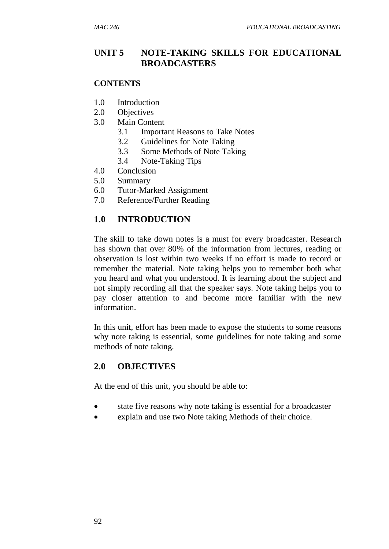## **UNIT 5 NOTE-TAKING SKILLS FOR EDUCATIONAL BROADCASTERS**

#### **CONTENTS**

- 1.0 Introduction
- 2.0 Objectives
- 3.0 Main Content
	- 3.1 Important Reasons to Take Notes
	- 3.2 Guidelines for Note Taking
	- 3.3 Some Methods of Note Taking
	- 3.4 Note-Taking Tips
- 4.0 Conclusion
- 5.0 Summary
- 6.0 Tutor-Marked Assignment
- 7.0 Reference/Further Reading

### **1.0 INTRODUCTION**

The skill to take down notes is a must for every broadcaster. Research has shown that over 80% of the information from lectures, reading or observation is lost within two weeks if no effort is made to record or remember the material. Note taking helps you to remember both what you heard and what you understood. It is learning about the subject and not simply recording all that the speaker says. Note taking helps you to pay closer attention to and become more familiar with the new information.

In this unit, effort has been made to expose the students to some reasons why note taking is essential, some guidelines for note taking and some methods of note taking.

### **2.0 OBJECTIVES**

At the end of this unit, you should be able to:

- state five reasons why note taking is essential for a broadcaster
- explain and use two Note taking Methods of their choice.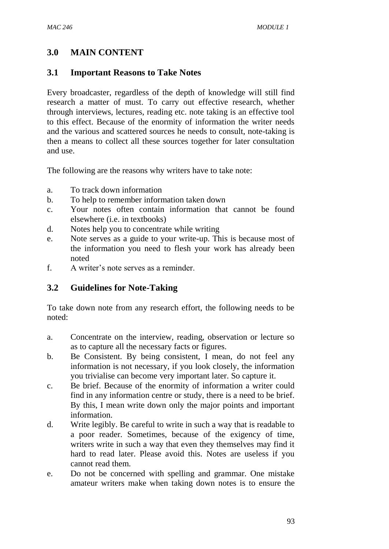# **3.0 MAIN CONTENT**

## **3.1 Important Reasons to Take Notes**

Every broadcaster, regardless of the depth of knowledge will still find research a matter of must. To carry out effective research, whether through interviews, lectures, reading etc. note taking is an effective tool to this effect. Because of the enormity of information the writer needs and the various and scattered sources he needs to consult, note-taking is then a means to collect all these sources together for later consultation and use.

The following are the reasons why writers have to take note:

- a. To track down information
- b. To help to remember information taken down
- c. Your notes often contain information that cannot be found elsewhere (i.e. in textbooks)
- d. Notes help you to concentrate while writing
- e. Note serves as a guide to your write-up. This is because most of the information you need to flesh your work has already been noted
- f. A writer's note serves as a reminder.

## **3.2 Guidelines for Note-Taking**

To take down note from any research effort, the following needs to be noted:

- a. Concentrate on the interview, reading, observation or lecture so as to capture all the necessary facts or figures.
- b. Be Consistent. By being consistent, I mean, do not feel any information is not necessary, if you look closely, the information you trivialise can become very important later. So capture it.
- c. Be brief. Because of the enormity of information a writer could find in any information centre or study, there is a need to be brief. By this, I mean write down only the major points and important information.
- d. Write legibly. Be careful to write in such a way that is readable to a poor reader. Sometimes, because of the exigency of time, writers write in such a way that even they themselves may find it hard to read later. Please avoid this. Notes are useless if you cannot read them.
- e. Do not be concerned with spelling and grammar. One mistake amateur writers make when taking down notes is to ensure the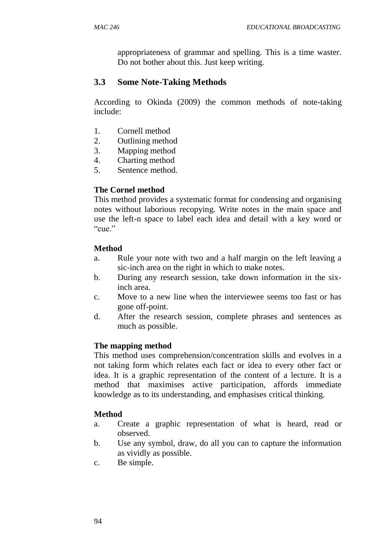appropriateness of grammar and spelling. This is a time waster. Do not bother about this. Just keep writing.

### **3.3 Some Note-Taking Methods**

According to Okinda (2009) the common methods of note-taking include:

- 1. Cornell method
- 2. Outlining method
- 3. Mapping method
- 4. Charting method
- 5. Sentence method.

#### **The Cornel method**

This method provides a systematic format for condensing and organising notes without laborious recopying. Write notes in the main space and use the left-n space to label each idea and detail with a key word or "cue."

#### **Method**

- a. Rule your note with two and a half margin on the left leaving a sic-inch area on the right in which to make notes.
- b. During any research session, take down information in the sixinch area.
- c. Move to a new line when the interviewee seems too fast or has gone off-point.
- d. After the research session, complete phrases and sentences as much as possible.

#### **The mapping method**

This method uses comprehension/concentration skills and evolves in a not taking form which relates each fact or idea to every other fact or idea. It is a graphic representation of the content of a lecture. It is a method that maximises active participation, affords immediate knowledge as to its understanding, and emphasises critical thinking.

#### **Method**

- a. Create a graphic representation of what is heard, read or observed.
- b. Use any symbol, draw, do all you can to capture the information as vividly as possible.
- c. Be simple.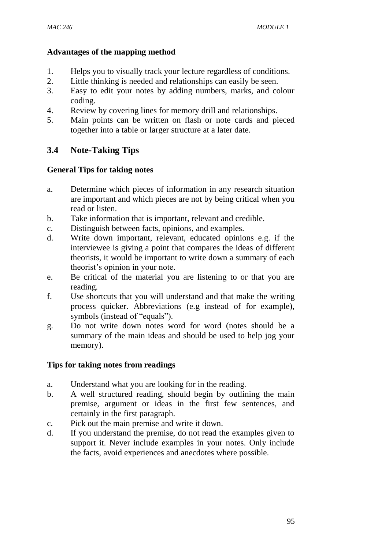### **Advantages of the mapping method**

- 1. Helps you to visually track your lecture regardless of conditions.
- 2. Little thinking is needed and relationships can easily be seen.
- 3. Easy to edit your notes by adding numbers, marks, and colour coding.
- 4. Review by covering lines for memory drill and relationships.
- 5. Main points can be written on flash or note cards and pieced together into a table or larger structure at a later date.

# **3.4 Note-Taking Tips**

## **General Tips for taking notes**

- a. Determine which pieces of information in any research situation are important and which pieces are not by being critical when you read or listen.
- b. Take information that is important, relevant and credible.
- c. Distinguish between facts, opinions, and examples.
- d. Write down important, relevant, educated opinions e.g. if the interviewee is giving a point that compares the ideas of different theorists, it would be important to write down a summary of each theorist's opinion in your note.
- e. Be critical of the material you are listening to or that you are reading.
- f. Use shortcuts that you will understand and that make the writing process quicker. Abbreviations (e.g instead of for example), symbols (instead of "equals").
- g. Do not write down notes word for word (notes should be a summary of the main ideas and should be used to help jog your memory).

## **Tips for taking notes from readings**

- a. Understand what you are looking for in the reading.
- b. A well structured reading, should begin by outlining the main premise, argument or ideas in the first few sentences, and certainly in the first paragraph.
- c. Pick out the main premise and write it down.
- d. If you understand the premise, do not read the examples given to support it. Never include examples in your notes. Only include the facts, avoid experiences and anecdotes where possible.